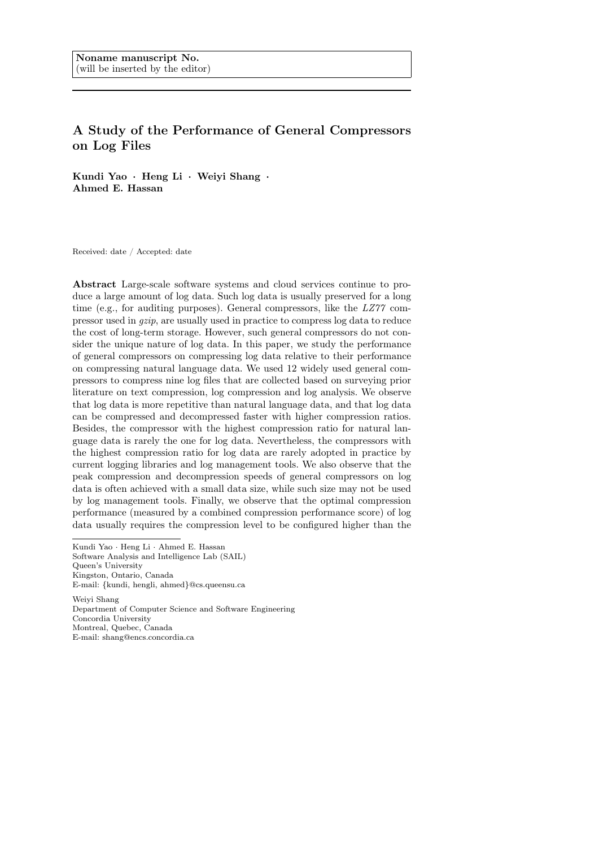# A Study of the Performance of General Compressors on Log Files

Kundi Yao · Heng Li · Weiyi Shang · Ahmed E. Hassan

Received: date / Accepted: date

Abstract Large-scale software systems and cloud services continue to produce a large amount of log data. Such log data is usually preserved for a long time (e.g., for auditing purposes). General compressors, like the LZ77 compressor used in gzip, are usually used in practice to compress log data to reduce the cost of long-term storage. However, such general compressors do not consider the unique nature of log data. In this paper, we study the performance of general compressors on compressing log data relative to their performance on compressing natural language data. We used 12 widely used general compressors to compress nine log files that are collected based on surveying prior literature on text compression, log compression and log analysis. We observe that log data is more repetitive than natural language data, and that log data can be compressed and decompressed faster with higher compression ratios. Besides, the compressor with the highest compression ratio for natural language data is rarely the one for log data. Nevertheless, the compressors with the highest compression ratio for log data are rarely adopted in practice by current logging libraries and log management tools. We also observe that the peak compression and decompression speeds of general compressors on log data is often achieved with a small data size, while such size may not be used by log management tools. Finally, we observe that the optimal compression performance (measured by a combined compression performance score) of log data usually requires the compression level to be configured higher than the

E-mail: {kundi, hengli, ahmed}@cs.queensu.ca

Weiyi Shang Department of Computer Science and Software Engineering Concordia University Montreal, Quebec, Canada E-mail: shang@encs.concordia.ca

Kundi Yao · Heng Li · Ahmed E. Hassan Software Analysis and Intelligence Lab (SAIL) Queen's University Kingston, Ontario, Canada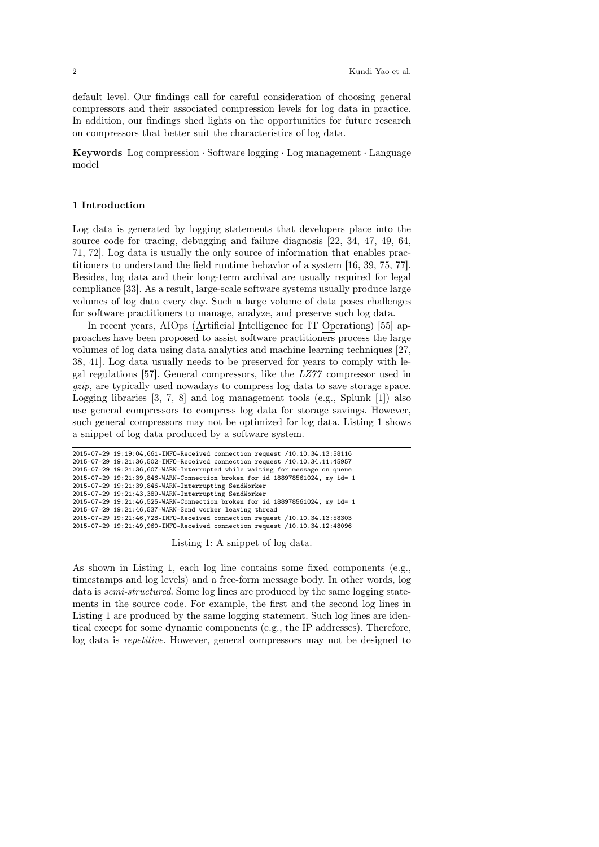default level. Our findings call for careful consideration of choosing general compressors and their associated compression levels for log data in practice. In addition, our findings shed lights on the opportunities for future research on compressors that better suit the characteristics of log data.

Keywords Log compression · Software logging · Log management · Language model

# 1 Introduction

Log data is generated by logging statements that developers place into the source code for tracing, debugging and failure diagnosis [22, 34, 47, 49, 64, 71, 72]. Log data is usually the only source of information that enables practitioners to understand the field runtime behavior of a system [16, 39, 75, 77]. Besides, log data and their long-term archival are usually required for legal compliance [33]. As a result, large-scale software systems usually produce large volumes of log data every day. Such a large volume of data poses challenges for software practitioners to manage, analyze, and preserve such log data.

In recent years, AIOps (Artificial Intelligence for IT Operations) [55] approaches have been proposed to assist software practitioners process the large volumes of log data using data analytics and machine learning techniques [27, 38, 41]. Log data usually needs to be preserved for years to comply with legal regulations [57]. General compressors, like the LZ77 compressor used in gzip, are typically used nowadays to compress log data to save storage space. Logging libraries [3, 7, 8] and log management tools (e.g., Splunk [1]) also use general compressors to compress log data for storage savings. However, such general compressors may not be optimized for log data. Listing 1 shows a snippet of log data produced by a software system.

| 2015-07-29 19:19:04,661-INFO-Received connection request /10.10.34.13:58116  |
|------------------------------------------------------------------------------|
| 2015-07-29 19:21:36,502-INFO-Received connection request /10.10.34.11:45957  |
| 2015-07-29 19:21:36,607-WARN-Interrupted while waiting for message on queue  |
| 2015-07-29 19:21:39,846-WARN-Connection broken for id 188978561024, my id= 1 |
| 2015-07-29 19:21:39,846-WARN-Interrupting SendWorker                         |
| 2015-07-29 19:21:43,389-WARN-Interrupting SendWorker                         |
| 2015-07-29 19:21:46,525-WARN-Connection broken for id 188978561024, my id= 1 |
| 2015-07-29 19:21:46,537-WARN-Send worker leaving thread                      |
| 2015-07-29 19:21:46,728-INFO-Received connection request /10.10.34.13:58303  |
| 2015-07-29 19:21:49,960-INFO-Received connection request /10.10.34.12:48096  |

Listing 1: A snippet of log data.

As shown in Listing 1, each log line contains some fixed components (e.g., timestamps and log levels) and a free-form message body. In other words, log data is semi-structured. Some log lines are produced by the same logging statements in the source code. For example, the first and the second log lines in Listing 1 are produced by the same logging statement. Such log lines are identical except for some dynamic components (e.g., the IP addresses). Therefore, log data is repetitive. However, general compressors may not be designed to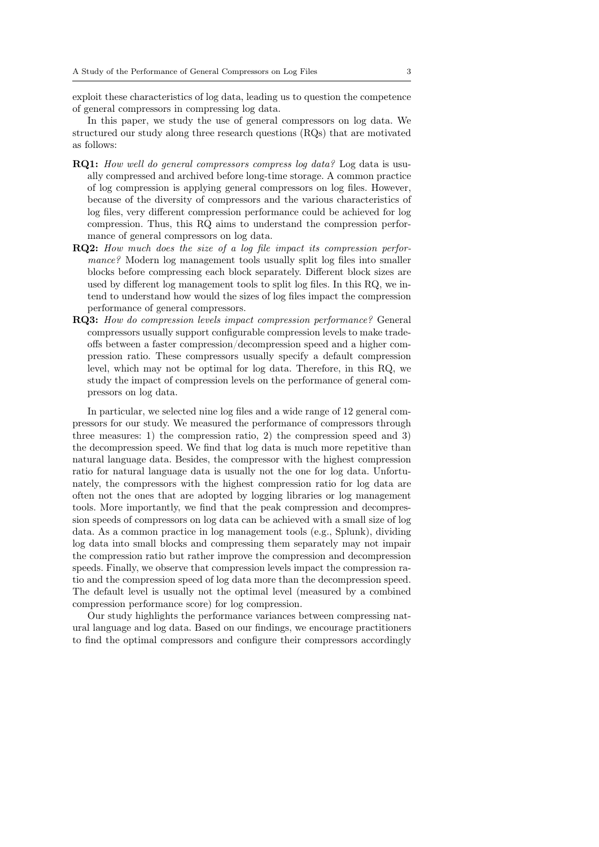exploit these characteristics of log data, leading us to question the competence of general compressors in compressing log data.

In this paper, we study the use of general compressors on log data. We structured our study along three research questions (RQs) that are motivated as follows:

- RQ1: How well do general compressors compress log data? Log data is usually compressed and archived before long-time storage. A common practice of log compression is applying general compressors on log files. However, because of the diversity of compressors and the various characteristics of log files, very different compression performance could be achieved for log compression. Thus, this RQ aims to understand the compression performance of general compressors on log data.
- RQ2: How much does the size of a log file impact its compression performance? Modern log management tools usually split log files into smaller blocks before compressing each block separately. Different block sizes are used by different log management tools to split log files. In this RQ, we intend to understand how would the sizes of log files impact the compression performance of general compressors.
- RQ3: How do compression levels impact compression performance? General compressors usually support configurable compression levels to make tradeoffs between a faster compression/decompression speed and a higher compression ratio. These compressors usually specify a default compression level, which may not be optimal for log data. Therefore, in this RQ, we study the impact of compression levels on the performance of general compressors on log data.

In particular, we selected nine log files and a wide range of 12 general compressors for our study. We measured the performance of compressors through three measures: 1) the compression ratio, 2) the compression speed and 3) the decompression speed. We find that log data is much more repetitive than natural language data. Besides, the compressor with the highest compression ratio for natural language data is usually not the one for log data. Unfortunately, the compressors with the highest compression ratio for log data are often not the ones that are adopted by logging libraries or log management tools. More importantly, we find that the peak compression and decompression speeds of compressors on log data can be achieved with a small size of log data. As a common practice in log management tools (e.g., Splunk), dividing log data into small blocks and compressing them separately may not impair the compression ratio but rather improve the compression and decompression speeds. Finally, we observe that compression levels impact the compression ratio and the compression speed of log data more than the decompression speed. The default level is usually not the optimal level (measured by a combined compression performance score) for log compression.

Our study highlights the performance variances between compressing natural language and log data. Based on our findings, we encourage practitioners to find the optimal compressors and configure their compressors accordingly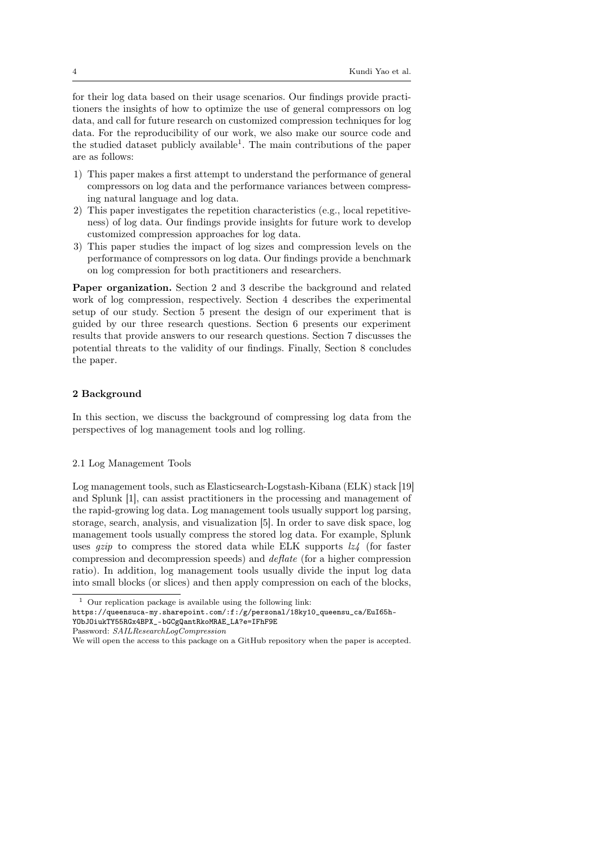for their log data based on their usage scenarios. Our findings provide practitioners the insights of how to optimize the use of general compressors on log data, and call for future research on customized compression techniques for log data. For the reproducibility of our work, we also make our source code and the studied dataset publicly available<sup>1</sup>. The main contributions of the paper are as follows:

- 1) This paper makes a first attempt to understand the performance of general compressors on log data and the performance variances between compressing natural language and log data.
- 2) This paper investigates the repetition characteristics (e.g., local repetitiveness) of log data. Our findings provide insights for future work to develop customized compression approaches for log data.
- 3) This paper studies the impact of log sizes and compression levels on the performance of compressors on log data. Our findings provide a benchmark on log compression for both practitioners and researchers.

Paper organization. Section 2 and 3 describe the background and related work of log compression, respectively. Section 4 describes the experimental setup of our study. Section 5 present the design of our experiment that is guided by our three research questions. Section 6 presents our experiment results that provide answers to our research questions. Section 7 discusses the potential threats to the validity of our findings. Finally, Section 8 concludes the paper.

### 2 Background

In this section, we discuss the background of compressing log data from the perspectives of log management tools and log rolling.

# 2.1 Log Management Tools

Log management tools, such as Elasticsearch-Logstash-Kibana (ELK) stack [19] and Splunk [1], can assist practitioners in the processing and management of the rapid-growing log data. Log management tools usually support log parsing, storage, search, analysis, and visualization [5]. In order to save disk space, log management tools usually compress the stored log data. For example, Splunk uses *gzip* to compress the stored data while ELK supports  $\ell z \ell$  (for faster compression and decompression speeds) and deflate (for a higher compression ratio). In addition, log management tools usually divide the input log data into small blocks (or slices) and then apply compression on each of the blocks,

 $1$  Our replication package is available using the following link:

https://queensuca-my.sharepoint.com/:f:/g/personal/18ky10\_queensu\_ca/EuI65h-YObJOiukTY55RGx4BPX\_-bGCgQantRkoMRAE\_LA?e=IFhF9E

Password: SAILResearchLogCompression

We will open the access to this package on a GitHub repository when the paper is accepted.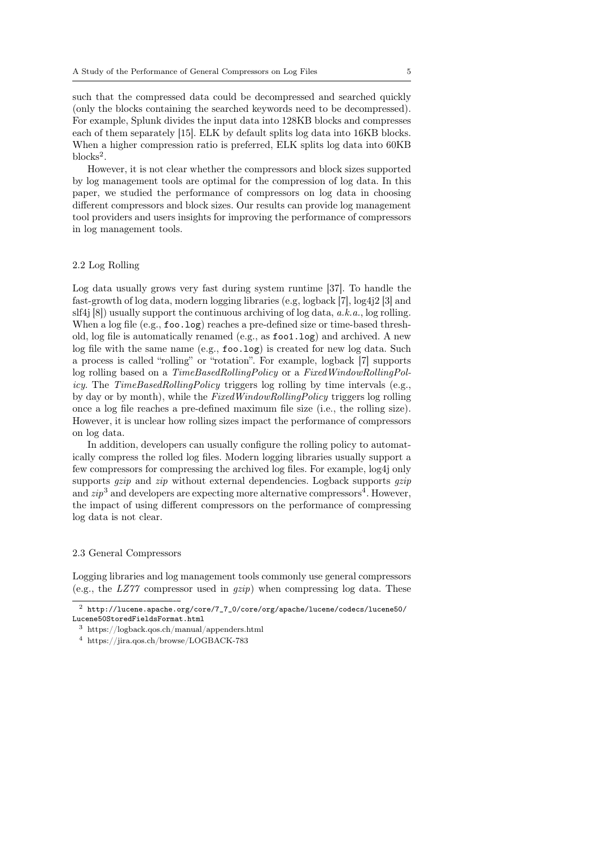such that the compressed data could be decompressed and searched quickly (only the blocks containing the searched keywords need to be decompressed). For example, Splunk divides the input data into 128KB blocks and compresses each of them separately [15]. ELK by default splits log data into 16KB blocks. When a higher compression ratio is preferred, ELK splits log data into 60KB blocks<sup>2</sup>.

However, it is not clear whether the compressors and block sizes supported by log management tools are optimal for the compression of log data. In this paper, we studied the performance of compressors on log data in choosing different compressors and block sizes. Our results can provide log management tool providers and users insights for improving the performance of compressors in log management tools.

# 2.2 Log Rolling

Log data usually grows very fast during system runtime [37]. To handle the fast-growth of log data, modern logging libraries (e.g, logback [7], log4j2 [3] and slf4j  $[8]$ ) usually support the continuous archiving of log data,  $a.k.a.,$  log rolling. When a log file (e.g.,  $\texttt{foo.log}$ ) reaches a pre-defined size or time-based threshold, log file is automatically renamed (e.g., as foo1.log) and archived. A new log file with the same name (e.g., foo.log) is created for new log data. Such a process is called "rolling" or "rotation". For example, logback [7] supports log rolling based on a TimeBasedRollingPolicy or a FixedWindowRollingPolicy. The TimeBasedRollingPolicy triggers log rolling by time intervals (e.g., by day or by month), while the FixedWindowRollingPolicy triggers log rolling once a log file reaches a pre-defined maximum file size (i.e., the rolling size). However, it is unclear how rolling sizes impact the performance of compressors on log data.

In addition, developers can usually configure the rolling policy to automatically compress the rolled log files. Modern logging libraries usually support a few compressors for compressing the archived log files. For example, log4j only supports *gzip* and *zip* without external dependencies. Logback supports *gzip* and  $zip^3$  and developers are expecting more alternative compressors<sup>4</sup>. However, the impact of using different compressors on the performance of compressing log data is not clear.

### 2.3 General Compressors

Logging libraries and log management tools commonly use general compressors (e.g., the  $LZ\gamma\gamma$  compressor used in  $gzip$ ) when compressing log data. These

 $^2$ http://lucene.apache.org/core/7\_7\_0/core/org/apache/lucene/codecs/lucene50/  $\,$ Lucene50StoredFieldsFormat.html

<sup>3</sup> https://logback.qos.ch/manual/appenders.html

<sup>4</sup> https://jira.qos.ch/browse/LOGBACK-783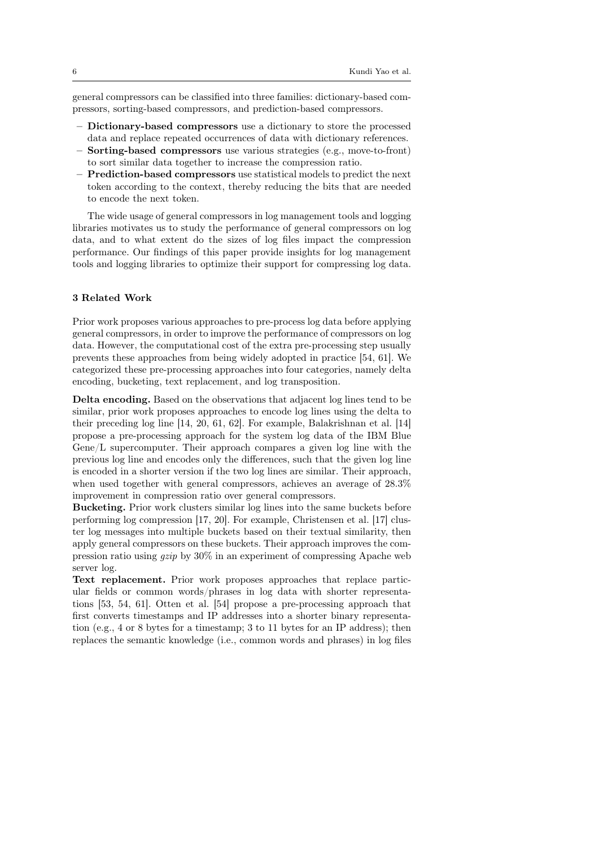general compressors can be classified into three families: dictionary-based compressors, sorting-based compressors, and prediction-based compressors.

- Dictionary-based compressors use a dictionary to store the processed data and replace repeated occurrences of data with dictionary references.
- Sorting-based compressors use various strategies (e.g., move-to-front) to sort similar data together to increase the compression ratio.
- Prediction-based compressors use statistical models to predict the next token according to the context, thereby reducing the bits that are needed to encode the next token.

The wide usage of general compressors in log management tools and logging libraries motivates us to study the performance of general compressors on log data, and to what extent do the sizes of log files impact the compression performance. Our findings of this paper provide insights for log management tools and logging libraries to optimize their support for compressing log data.

# 3 Related Work

Prior work proposes various approaches to pre-process log data before applying general compressors, in order to improve the performance of compressors on log data. However, the computational cost of the extra pre-processing step usually prevents these approaches from being widely adopted in practice [54, 61]. We categorized these pre-processing approaches into four categories, namely delta encoding, bucketing, text replacement, and log transposition.

Delta encoding. Based on the observations that adjacent log lines tend to be similar, prior work proposes approaches to encode log lines using the delta to their preceding log line [14, 20, 61, 62]. For example, Balakrishnan et al. [14] propose a pre-processing approach for the system log data of the IBM Blue Gene/L supercomputer. Their approach compares a given log line with the previous log line and encodes only the differences, such that the given log line is encoded in a shorter version if the two log lines are similar. Their approach, when used together with general compressors, achieves an average of 28.3% improvement in compression ratio over general compressors.

Bucketing. Prior work clusters similar log lines into the same buckets before performing log compression [17, 20]. For example, Christensen et al. [17] cluster log messages into multiple buckets based on their textual similarity, then apply general compressors on these buckets. Their approach improves the compression ratio using gzip by 30% in an experiment of compressing Apache web server log.

Text replacement. Prior work proposes approaches that replace particular fields or common words/phrases in log data with shorter representations [53, 54, 61]. Otten et al. [54] propose a pre-processing approach that first converts timestamps and IP addresses into a shorter binary representation (e.g., 4 or 8 bytes for a timestamp; 3 to 11 bytes for an IP address); then replaces the semantic knowledge (i.e., common words and phrases) in log files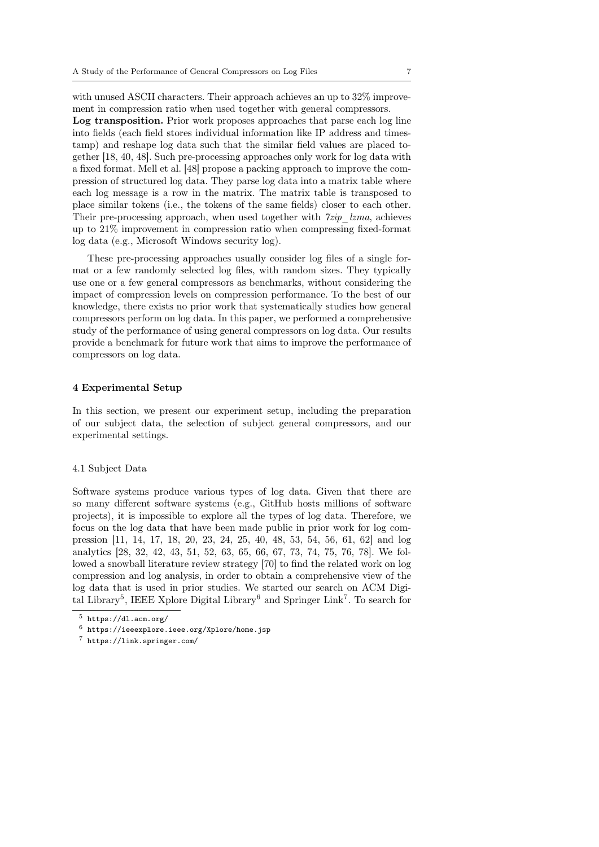with unused ASCII characters. Their approach achieves an up to  $32\%$  improvement in compression ratio when used together with general compressors. Log transposition. Prior work proposes approaches that parse each log line into fields (each field stores individual information like IP address and timestamp) and reshape log data such that the similar field values are placed together [18, 40, 48]. Such pre-processing approaches only work for log data with a fixed format. Mell et al. [48] propose a packing approach to improve the compression of structured log data. They parse log data into a matrix table where each log message is a row in the matrix. The matrix table is transposed to place similar tokens (i.e., the tokens of the same fields) closer to each other. Their pre-processing approach, when used together with  $\gamma_{zip}$  lzma, achieves up to 21% improvement in compression ratio when compressing fixed-format log data (e.g., Microsoft Windows security log).

These pre-processing approaches usually consider log files of a single format or a few randomly selected log files, with random sizes. They typically use one or a few general compressors as benchmarks, without considering the impact of compression levels on compression performance. To the best of our knowledge, there exists no prior work that systematically studies how general compressors perform on log data. In this paper, we performed a comprehensive study of the performance of using general compressors on log data. Our results provide a benchmark for future work that aims to improve the performance of compressors on log data.

#### 4 Experimental Setup

In this section, we present our experiment setup, including the preparation of our subject data, the selection of subject general compressors, and our experimental settings.

## 4.1 Subject Data

Software systems produce various types of log data. Given that there are so many different software systems (e.g., GitHub hosts millions of software projects), it is impossible to explore all the types of log data. Therefore, we focus on the log data that have been made public in prior work for log compression [11, 14, 17, 18, 20, 23, 24, 25, 40, 48, 53, 54, 56, 61, 62] and log analytics [28, 32, 42, 43, 51, 52, 63, 65, 66, 67, 73, 74, 75, 76, 78]. We followed a snowball literature review strategy [70] to find the related work on log compression and log analysis, in order to obtain a comprehensive view of the log data that is used in prior studies. We started our search on ACM Digital Library<sup>5</sup>, IEEE Xplore Digital Library<sup>6</sup> and Springer Link<sup>7</sup>. To search for

<sup>5</sup> https://dl.acm.org/

 $6$  https://ieeexplore.ieee.org/Xplore/home.jsp

<sup>7</sup> https://link.springer.com/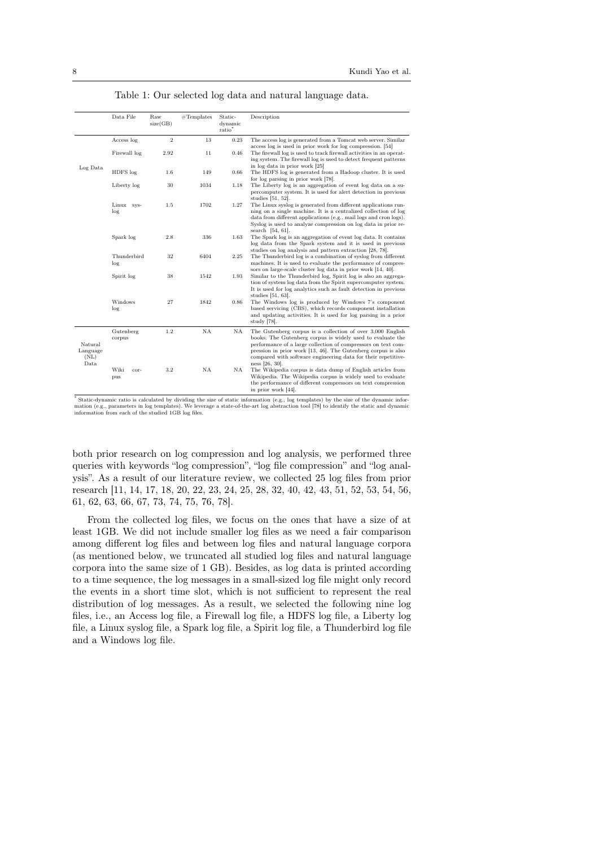|                                     | Data File           | Raw<br>size(GB) | #Templates | Static-<br>dynamic<br>ratio <sup>*</sup> | Description                                                                                                                                                                                                                                                                                                                                   |
|-------------------------------------|---------------------|-----------------|------------|------------------------------------------|-----------------------------------------------------------------------------------------------------------------------------------------------------------------------------------------------------------------------------------------------------------------------------------------------------------------------------------------------|
| Log Data                            | Access log          | $\,2$           | 13         | 0.23                                     | The access log is generated from a Tomcat web server. Similar<br>access log is used in prior work for log compression. [54]                                                                                                                                                                                                                   |
|                                     | Firewall log        | 2.92            | 11         | 0.46                                     | The firewall log is used to track firewall activities in an operat-<br>ing system. The firewall log is used to detect frequent patterns<br>in log data in prior work [25]                                                                                                                                                                     |
|                                     | HDFS log            | 1.6             | 149        | 0.66                                     | The HDFS log is generated from a Hadoop cluster. It is used<br>for log parsing in prior work [78].                                                                                                                                                                                                                                            |
|                                     | Liberty log         | 30              | 1034       | 1.18                                     | The Liberty log is an aggregation of event log data on a su-<br>percomputer system. It is used for alert detection in previous<br>studies $[51, 52]$ .                                                                                                                                                                                        |
|                                     | Linux sys-<br>log   | 1.5             | 1702       | 1.27                                     | The Linux syslog is generated from different applications run-<br>ning on a single machine. It is a centralized collection of log<br>data from different applications (e.g., mail logs and cron logs).<br>Syslog is used to analyze compression on log data in prior re-<br>search [54, 61].                                                  |
|                                     | Spark log           | 2.8             | 336        | 1.63                                     | The Spark log is an aggregation of event log data. It contains<br>log data from the Spark system and it is used in previous<br>studies on log analysis and pattern extraction [28, 78].                                                                                                                                                       |
|                                     | Thunderbird<br>log  | 32              | 6404       | 2.25                                     | The Thunderbird log is a combination of syslog from different<br>machines. It is used to evaluate the performance of compres-<br>sors on large-scale cluster log data in prior work [14, 40].                                                                                                                                                 |
|                                     | Spirit log          | 38              | 1542       | 1.93                                     | Similar to the Thunderbird log, Spirit log is also an aggrega-<br>tion of system log data from the Spirit supercomputer system.<br>It is used for log analytics such as fault detection in previous<br>studies [51, 63].                                                                                                                      |
|                                     | Windows<br>log      | 27              | 1842       | 0.86                                     | The Windows log is produced by Windows 7's component<br>based servicing (CBS), which records component installation<br>and updating activities. It is used for log parsing in a prior<br>study $[78]$ .                                                                                                                                       |
| Natural<br>Language<br>(NL)<br>Data | Gutenberg<br>corpus | $1.2\,$         | NA         | NΑ                                       | The Gutenberg corpus is a collection of over 3,000 English<br>books. The Gutenberg corpus is widely used to evaluate the<br>performance of a large collection of compressors on text com-<br>pression in prior work [13, 46]. The Gutenberg corpus is also<br>compared with software engineering data for their repetitive-<br>ness [26, 30]. |
|                                     | Wiki<br>cor-<br>pus | 3.2             | NA         | NA                                       | The Wikipedia corpus is data dump of English articles from<br>Wikipedia. The Wikipedia corpus is widely used to evaluate<br>the performance of different compressors on text compression                                                                                                                                                      |

Table 1: Our selected log data and natural language data.

 $^*$  Static-dynamic ratio is calculated by dividing the size of static information (e.g., log templates) by the size of the dynamic information (e.g., parameters in log templates). We leverage a state-of-the-art log abstr

in prior work [44].

both prior research on log compression and log analysis, we performed three queries with keywords "log compression", "log file compression" and "log analysis". As a result of our literature review, we collected 25 log files from prior research [11, 14, 17, 18, 20, 22, 23, 24, 25, 28, 32, 40, 42, 43, 51, 52, 53, 54, 56, 61, 62, 63, 66, 67, 73, 74, 75, 76, 78].

From the collected log files, we focus on the ones that have a size of at least 1GB. We did not include smaller log files as we need a fair comparison among different log files and between log files and natural language corpora (as mentioned below, we truncated all studied log files and natural language corpora into the same size of 1 GB). Besides, as log data is printed according to a time sequence, the log messages in a small-sized log file might only record the events in a short time slot, which is not sufficient to represent the real distribution of log messages. As a result, we selected the following nine log files, i.e., an Access log file, a Firewall log file, a HDFS log file, a Liberty log file, a Linux syslog file, a Spark log file, a Spirit log file, a Thunderbird log file and a Windows log file.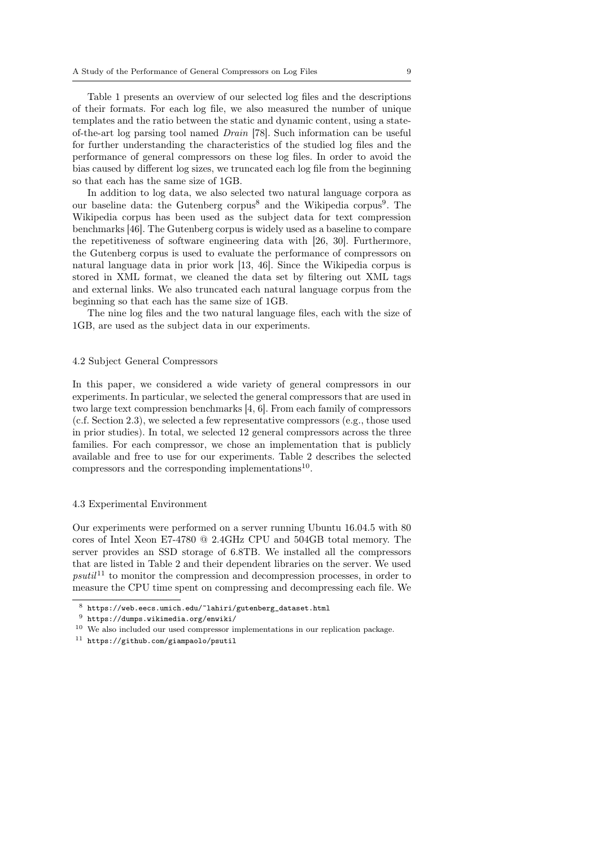Table 1 presents an overview of our selected log files and the descriptions of their formats. For each log file, we also measured the number of unique templates and the ratio between the static and dynamic content, using a stateof-the-art log parsing tool named Drain [78]. Such information can be useful for further understanding the characteristics of the studied log files and the performance of general compressors on these log files. In order to avoid the bias caused by different log sizes, we truncated each log file from the beginning so that each has the same size of 1GB.

In addition to log data, we also selected two natural language corpora as our baseline data: the Gutenberg corpus<sup>8</sup> and the Wikipedia corpus<sup>9</sup>. The Wikipedia corpus has been used as the subject data for text compression benchmarks [46]. The Gutenberg corpus is widely used as a baseline to compare the repetitiveness of software engineering data with [26, 30]. Furthermore, the Gutenberg corpus is used to evaluate the performance of compressors on natural language data in prior work [13, 46]. Since the Wikipedia corpus is stored in XML format, we cleaned the data set by filtering out XML tags and external links. We also truncated each natural language corpus from the beginning so that each has the same size of 1GB.

The nine log files and the two natural language files, each with the size of 1GB, are used as the subject data in our experiments.

### 4.2 Subject General Compressors

In this paper, we considered a wide variety of general compressors in our experiments. In particular, we selected the general compressors that are used in two large text compression benchmarks [4, 6]. From each family of compressors (c.f. Section 2.3), we selected a few representative compressors (e.g., those used in prior studies). In total, we selected 12 general compressors across the three families. For each compressor, we chose an implementation that is publicly available and free to use for our experiments. Table 2 describes the selected compressors and the corresponding implementations $^{10}$ .

#### 4.3 Experimental Environment

Our experiments were performed on a server running Ubuntu 16.04.5 with 80 cores of Intel Xeon E7-4780 @ 2.4GHz CPU and 504GB total memory. The server provides an SSD storage of 6.8TB. We installed all the compressors that are listed in Table 2 and their dependent libraries on the server. We used  $psuit<sup>11</sup>$  to monitor the compression and decompression processes, in order to measure the CPU time spent on compressing and decompressing each file. We

<sup>11</sup> https://github.com/giampaolo/psutil

<sup>8</sup> https://web.eecs.umich.edu/~lahiri/gutenberg\_dataset.html

 $9$  https://dumps.wikimedia.org/enwiki/

<sup>10</sup> We also included our used compressor implementations in our replication package.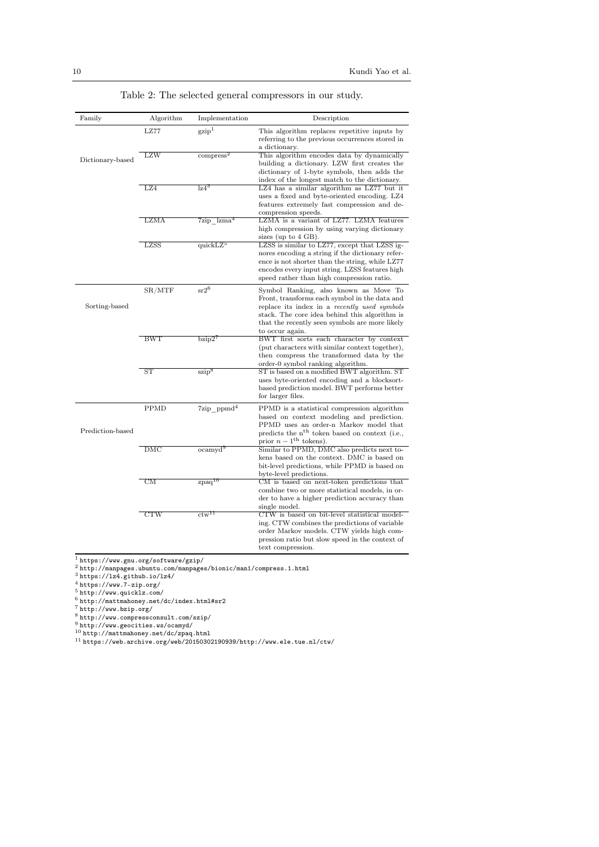| Family           | Algorithm        | Implementation               | Description                                                                                                                                                                                                                                                         |
|------------------|------------------|------------------------------|---------------------------------------------------------------------------------------------------------------------------------------------------------------------------------------------------------------------------------------------------------------------|
|                  | LZ77             | $\text{gzip}^1$              | This algorithm replaces repetitive inputs by<br>referring to the previous occurrences stored in<br>a dictionary.                                                                                                                                                    |
| Dictionary-based | LZW              | compress <sup>2</sup>        | This algorithm encodes data by dynamically<br>building a dictionary. LZW first creates the<br>dictionary of 1-byte symbols, then adds the<br>index of the longest match to the dictionary.                                                                          |
|                  | $\overline{L74}$ | $\overline{{\rm l}z4^3}$     | LZ4 has a similar algorithm as LZ77 but it<br>uses a fixed and byte-oriented encoding. LZ4<br>features extremely fast compression and de-<br>compression speeds.                                                                                                    |
|                  | <b>LZMA</b>      | $7\text{zip } \text{lzma}^4$ | LZMA is a variant of LZ77. LZMA features<br>high compression by using varying dictionary<br>sizes (up to $4$ GB).                                                                                                                                                   |
|                  | LZSS             | quickLZ <sup>5</sup>         | LZSS is similar to LZ77, except that LZSS ig-<br>nores encoding a string if the dictionary refer-<br>ence is not shorter than the string, while LZ77<br>encodes every input string. LZSS features high<br>speed rather than high compression ratio.                 |
| Sorting-based    | SR/MTF           | $sr2^6$                      | Symbol Ranking, also known as Move To<br>Front, transforms each symbol in the data and<br>replace its index in a <i>recently used symbols</i><br>stack. The core idea behind this algorithm is<br>that the recently seen symbols are more likely<br>to occur again. |
|                  | <b>BWT</b>       | bzip2'                       | BWT first sorts each character by context<br>(put characters with similar context together),<br>then compress the transformed data by the<br>order-0 symbol ranking algorithm.                                                                                      |
|                  | ST               | szip <sup>8</sup>            | ST is based on a modified BWT algorithm. ST<br>uses byte-oriented encoding and a blocksort-<br>based prediction model. BWT performs better<br>for larger files.                                                                                                     |
| Prediction-based | PPMD             | $7$ zip ppm $d^4$            | PPMD is a statistical compression algorithm<br>based on context modeling and prediction.<br>PPMD uses an order-n Markov model that<br>predicts the n <sup>th</sup> token based on context (i.e.,<br>prior $n-1$ <sup>th</sup> tokens).                              |
|                  | DMC              | ocamyd <sup>9</sup>          | Similar to PPMD, DMC also predicts next to-<br>kens based on the context. DMC is based on<br>bit-level predictions, while PPMD is based on<br>byte-level predictions.                                                                                               |
|                  | CM               | $zpaq^{10}$                  | CM is based on next-token predictions that<br>combine two or more statistical models, in or-<br>der to have a higher prediction accuracy than<br>single model.                                                                                                      |
|                  | <b>CTW</b>       | $ctw^{11}$                   | CTW is based on bit-level statistical model-<br>ing. CTW combines the predictions of variable<br>order Markov models. CTW yields high com-<br>pression ratio but slow speed in the context of<br>text compression.                                                  |

Table 2: The selected general compressors in our study.

<sup>1</sup> https://www.gnu.org/software/gzip/

 $^2$  http://manpages.ubuntu.com/manpages/bionic/man1/compress.1.html

 $3$  https://lz4.github.io/lz4/

 $^4$  https://www.7-zip.org/

<sup>5</sup> http://www.quicklz.com/

 $^6$  http://mattmahoney.net/dc/index.html#sr2

<sup>7</sup> http://www.bzip.org/

<sup>8</sup> http://www.compressconsult.com/szip/

 $^9$  http://www.geocities.ws/ocamyd/

<sup>10</sup> http://mattmahoney.net/dc/zpaq.html

 $^{11}$  https://web.archive.org/web/20150302190939/http://www.ele.tue.nl/ctw/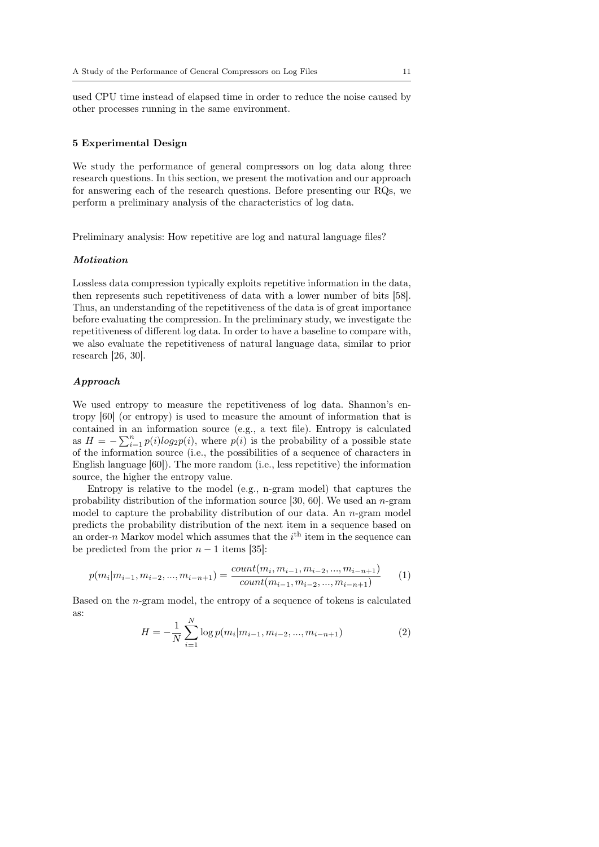used CPU time instead of elapsed time in order to reduce the noise caused by other processes running in the same environment.

### 5 Experimental Design

We study the performance of general compressors on log data along three research questions. In this section, we present the motivation and our approach for answering each of the research questions. Before presenting our RQs, we perform a preliminary analysis of the characteristics of log data.

Preliminary analysis: How repetitive are log and natural language files?

# **Motivation**

Lossless data compression typically exploits repetitive information in the data, then represents such repetitiveness of data with a lower number of bits [58]. Thus, an understanding of the repetitiveness of the data is of great importance before evaluating the compression. In the preliminary study, we investigate the repetitiveness of different log data. In order to have a baseline to compare with, we also evaluate the repetitiveness of natural language data, similar to prior research [26, 30].

# Approach

We used entropy to measure the repetitiveness of log data. Shannon's entropy [60] (or entropy) is used to measure the amount of information that is contained in an information source (e.g., a text file). Entropy is calculated as  $H = -\sum_{i=1}^{n} p(i)log_2p(i)$ , where  $p(i)$  is the probability of a possible state of the information source (i.e., the possibilities of a sequence of characters in English language [60]). The more random (i.e., less repetitive) the information source, the higher the entropy value.

Entropy is relative to the model (e.g., n-gram model) that captures the probability distribution of the information source [30, 60]. We used an  $n$ -gram model to capture the probability distribution of our data. An  $n$ -gram model predicts the probability distribution of the next item in a sequence based on an order-n Markov model which assumes that the  $i<sup>th</sup>$  item in the sequence can be predicted from the prior  $n - 1$  items [35]:

$$
p(m_i|m_{i-1},m_{i-2},...,m_{i-n+1}) = \frac{count(m_i,m_{i-1},m_{i-2},...,m_{i-n+1})}{count(m_{i-1},m_{i-2},...,m_{i-n+1})}
$$
(1)

Based on the n-gram model, the entropy of a sequence of tokens is calculated as:

$$
H = -\frac{1}{N} \sum_{i=1}^{N} \log p(m_i | m_{i-1}, m_{i-2}, ..., m_{i-n+1})
$$
 (2)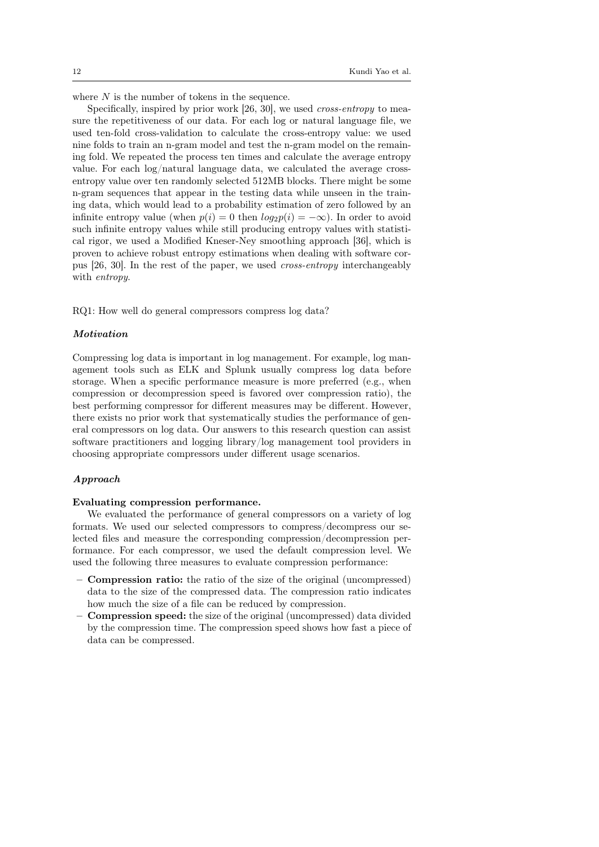where  $N$  is the number of tokens in the sequence.

Specifically, inspired by prior work [26, 30], we used *cross-entropy* to measure the repetitiveness of our data. For each log or natural language file, we used ten-fold cross-validation to calculate the cross-entropy value: we used nine folds to train an n-gram model and test the n-gram model on the remaining fold. We repeated the process ten times and calculate the average entropy value. For each log/natural language data, we calculated the average crossentropy value over ten randomly selected 512MB blocks. There might be some n-gram sequences that appear in the testing data while unseen in the training data, which would lead to a probability estimation of zero followed by an infinite entropy value (when  $p(i) = 0$  then  $log_2 p(i) = -\infty$ ). In order to avoid such infinite entropy values while still producing entropy values with statistical rigor, we used a Modified Kneser-Ney smoothing approach [36], which is proven to achieve robust entropy estimations when dealing with software corpus [26, 30]. In the rest of the paper, we used cross-entropy interchangeably with *entropy*.

RQ1: How well do general compressors compress log data?

### Motivation

Compressing log data is important in log management. For example, log management tools such as ELK and Splunk usually compress log data before storage. When a specific performance measure is more preferred (e.g., when compression or decompression speed is favored over compression ratio), the best performing compressor for different measures may be different. However, there exists no prior work that systematically studies the performance of general compressors on log data. Our answers to this research question can assist software practitioners and logging library/log management tool providers in choosing appropriate compressors under different usage scenarios.

# Approach

### Evaluating compression performance.

We evaluated the performance of general compressors on a variety of log formats. We used our selected compressors to compress/decompress our selected files and measure the corresponding compression/decompression performance. For each compressor, we used the default compression level. We used the following three measures to evaluate compression performance:

- Compression ratio: the ratio of the size of the original (uncompressed) data to the size of the compressed data. The compression ratio indicates how much the size of a file can be reduced by compression.
- Compression speed: the size of the original (uncompressed) data divided by the compression time. The compression speed shows how fast a piece of data can be compressed.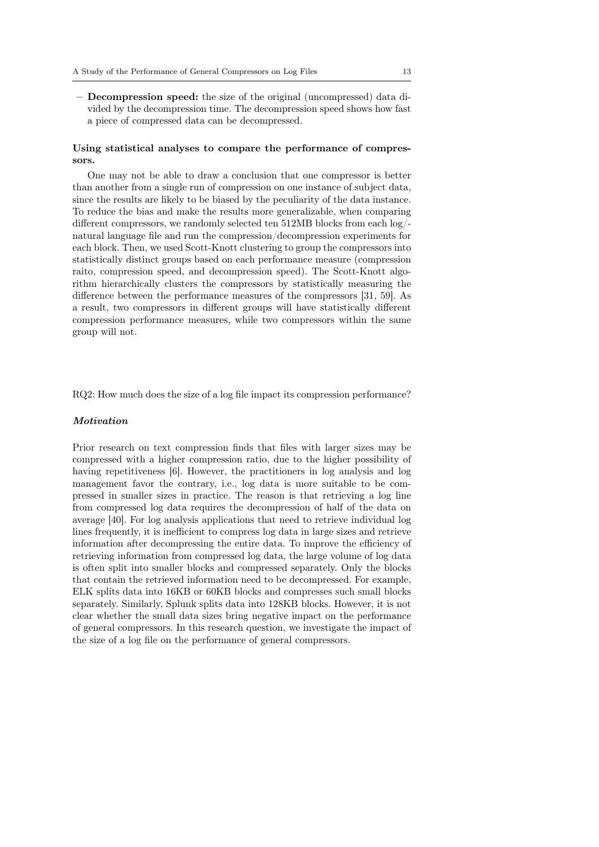– Decompression speed: the size of the original (uncompressed) data divided by the decompression time. The decompression speed shows how fast a piece of compressed data can be decompressed.

# Using statistical analyses to compare the performance of compressors.

One may not be able to draw a conclusion that one compressor is better than another from a single run of compression on one instance of subject data, since the results are likely to be biased by the peculiarity of the data instance. To reduce the bias and make the results more generalizable, when comparing different compressors, we randomly selected ten 512MB blocks from each log/ natural language file and run the compression/decompression experiments for each block. Then, we used Scott-Knott clustering to group the compressors into statistically distinct groups based on each performance measure (compression raito, compression speed, and decompression speed). The Scott-Knott algorithm hierarchically clusters the compressors by statistically measuring the difference between the performance measures of the compressors [31, 59]. As a result, two compressors in different groups will have statistically different compression performance measures, while two compressors within the same group will not.

RQ2: How much does the size of a log file impact its compression performance?

## **Motivation**

Prior research on text compression finds that files with larger sizes may be compressed with a higher compression ratio, due to the higher possibility of having repetitiveness [6]. However, the practitioners in log analysis and log management favor the contrary, i.e., log data is more suitable to be compressed in smaller sizes in practice. The reason is that retrieving a log line from compressed log data requires the decompression of half of the data on average [40]. For log analysis applications that need to retrieve individual log lines frequently, it is inefficient to compress log data in large sizes and retrieve information after decompressing the entire data. To improve the efficiency of retrieving information from compressed log data, the large volume of log data is often split into smaller blocks and compressed separately. Only the blocks that contain the retrieved information need to be decompressed. For example, ELK splits data into 16KB or 60KB blocks and compresses such small blocks separately. Similarly, Splunk splits data into 128KB blocks. However, it is not clear whether the small data sizes bring negative impact on the performance of general compressors. In this research question, we investigate the impact of the size of a log file on the performance of general compressors.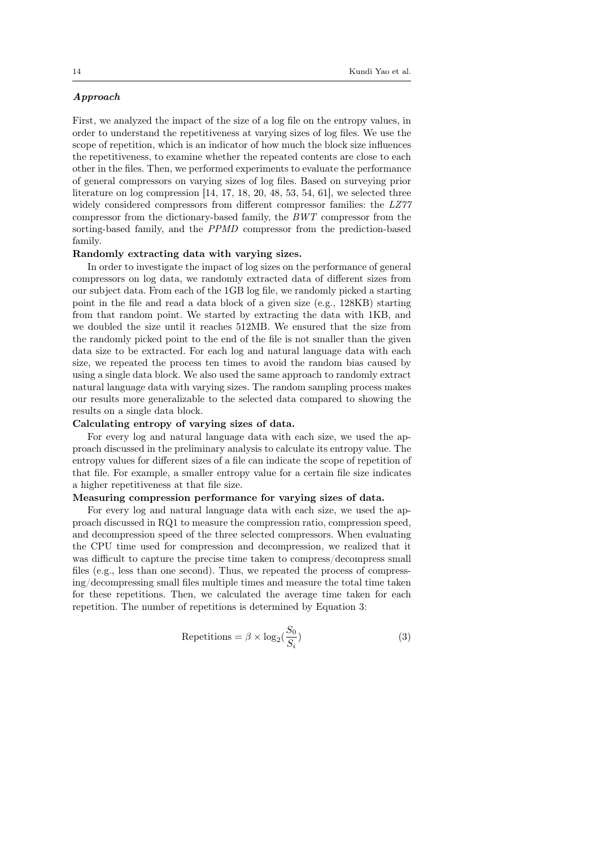# Approach

First, we analyzed the impact of the size of a log file on the entropy values, in order to understand the repetitiveness at varying sizes of log files. We use the scope of repetition, which is an indicator of how much the block size influences the repetitiveness, to examine whether the repeated contents are close to each other in the files. Then, we performed experiments to evaluate the performance of general compressors on varying sizes of log files. Based on surveying prior literature on log compression [14, 17, 18, 20, 48, 53, 54, 61], we selected three widely considered compressors from different compressor families: the LZ77 compressor from the dictionary-based family, the BWT compressor from the sorting-based family, and the PPMD compressor from the prediction-based family.

# Randomly extracting data with varying sizes.

In order to investigate the impact of log sizes on the performance of general compressors on log data, we randomly extracted data of different sizes from our subject data. From each of the 1GB log file, we randomly picked a starting point in the file and read a data block of a given size (e.g., 128KB) starting from that random point. We started by extracting the data with 1KB, and we doubled the size until it reaches 512MB. We ensured that the size from the randomly picked point to the end of the file is not smaller than the given data size to be extracted. For each log and natural language data with each size, we repeated the process ten times to avoid the random bias caused by using a single data block. We also used the same approach to randomly extract natural language data with varying sizes. The random sampling process makes our results more generalizable to the selected data compared to showing the results on a single data block.

### Calculating entropy of varying sizes of data.

For every log and natural language data with each size, we used the approach discussed in the preliminary analysis to calculate its entropy value. The entropy values for different sizes of a file can indicate the scope of repetition of that file. For example, a smaller entropy value for a certain file size indicates a higher repetitiveness at that file size.

# Measuring compression performance for varying sizes of data.

For every log and natural language data with each size, we used the approach discussed in RQ1 to measure the compression ratio, compression speed, and decompression speed of the three selected compressors. When evaluating the CPU time used for compression and decompression, we realized that it was difficult to capture the precise time taken to compress/decompress small files (e.g., less than one second). Thus, we repeated the process of compressing/decompressing small files multiple times and measure the total time taken for these repetitions. Then, we calculated the average time taken for each repetition. The number of repetitions is determined by Equation 3:

Repetitions = 
$$
\beta \times \log_2(\frac{S_0}{S_i})
$$
 (3)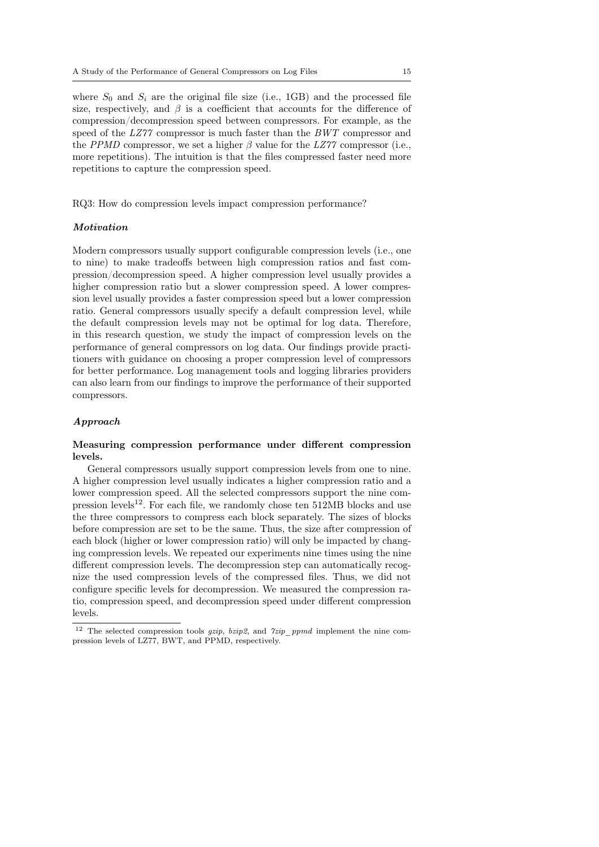where  $S_0$  and  $S_i$  are the original file size (i.e., 1GB) and the processed file size, respectively, and  $\beta$  is a coefficient that accounts for the difference of compression/decompression speed between compressors. For example, as the speed of the LZ77 compressor is much faster than the BWT compressor and the PPMD compressor, we set a higher  $\beta$  value for the LZ77 compressor (i.e., more repetitions). The intuition is that the files compressed faster need more repetitions to capture the compression speed.

RQ3: How do compression levels impact compression performance?

#### Motivation

Modern compressors usually support configurable compression levels (i.e., one to nine) to make tradeoffs between high compression ratios and fast compression/decompression speed. A higher compression level usually provides a higher compression ratio but a slower compression speed. A lower compression level usually provides a faster compression speed but a lower compression ratio. General compressors usually specify a default compression level, while the default compression levels may not be optimal for log data. Therefore, in this research question, we study the impact of compression levels on the performance of general compressors on log data. Our findings provide practitioners with guidance on choosing a proper compression level of compressors for better performance. Log management tools and logging libraries providers can also learn from our findings to improve the performance of their supported compressors.

#### Approach

# Measuring compression performance under different compression levels.

General compressors usually support compression levels from one to nine. A higher compression level usually indicates a higher compression ratio and a lower compression speed. All the selected compressors support the nine compression levels<sup>12</sup>. For each file, we randomly chose ten  $512MB$  blocks and use the three compressors to compress each block separately. The sizes of blocks before compression are set to be the same. Thus, the size after compression of each block (higher or lower compression ratio) will only be impacted by changing compression levels. We repeated our experiments nine times using the nine different compression levels. The decompression step can automatically recognize the used compression levels of the compressed files. Thus, we did not configure specific levels for decompression. We measured the compression ratio, compression speed, and decompression speed under different compression levels.

<sup>&</sup>lt;sup>12</sup> The selected compression tools  $gzip$ ,  $bzip2$ , and  $7zip\_ppmd$  implement the nine compression levels of LZ77, BWT, and PPMD, respectively.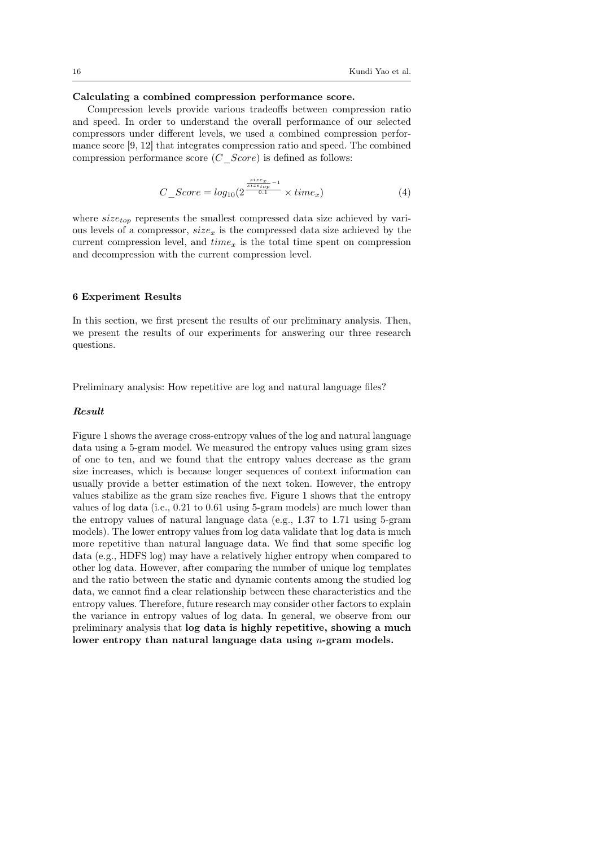# Calculating a combined compression performance score.

Compression levels provide various tradeoffs between compression ratio and speed. In order to understand the overall performance of our selected compressors under different levels, we used a combined compression performance score [9, 12] that integrates compression ratio and speed. The combined compression performance score  $(C\quadScore)$  is defined as follows:

$$
C\_Score = log_{10}(2^{\frac{size_{exp}}{size_{top}}-1} \times time_x)
$$
\n
$$
(4)
$$

where  $size_{top}$  represents the smallest compressed data size achieved by various levels of a compressor,  $size_x$  is the compressed data size achieved by the current compression level, and  $time<sub>x</sub>$  is the total time spent on compression and decompression with the current compression level.

### 6 Experiment Results

In this section, we first present the results of our preliminary analysis. Then, we present the results of our experiments for answering our three research questions.

Preliminary analysis: How repetitive are log and natural language files?

### Result

Figure 1 shows the average cross-entropy values of the log and natural language data using a 5-gram model. We measured the entropy values using gram sizes of one to ten, and we found that the entropy values decrease as the gram size increases, which is because longer sequences of context information can usually provide a better estimation of the next token. However, the entropy values stabilize as the gram size reaches five. Figure 1 shows that the entropy values of log data (i.e., 0.21 to 0.61 using 5-gram models) are much lower than the entropy values of natural language data (e.g., 1.37 to 1.71 using 5-gram models). The lower entropy values from log data validate that log data is much more repetitive than natural language data. We find that some specific log data (e.g., HDFS log) may have a relatively higher entropy when compared to other log data. However, after comparing the number of unique log templates and the ratio between the static and dynamic contents among the studied log data, we cannot find a clear relationship between these characteristics and the entropy values. Therefore, future research may consider other factors to explain the variance in entropy values of log data. In general, we observe from our preliminary analysis that log data is highly repetitive, showing a much lower entropy than natural language data using n-gram models.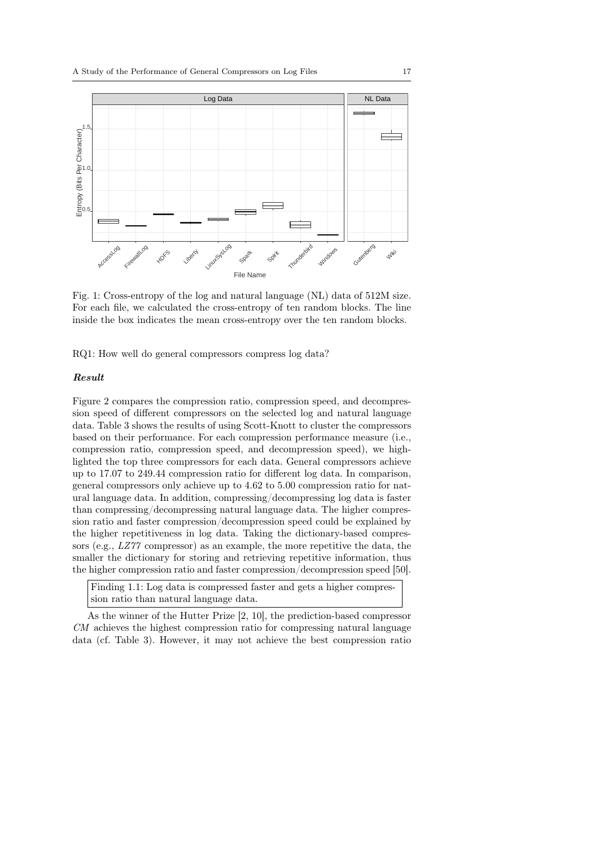

Fig. 1: Cross-entropy of the log and natural language (NL) data of 512M size. For each file, we calculated the cross-entropy of ten random blocks. The line inside the box indicates the mean cross-entropy over the ten random blocks.

RQ1: How well do general compressors compress log data?

# Result

Figure 2 compares the compression ratio, compression speed, and decompression speed of different compressors on the selected log and natural language data. Table 3 shows the results of using Scott-Knott to cluster the compressors based on their performance. For each compression performance measure (i.e., compression ratio, compression speed, and decompression speed), we highlighted the top three compressors for each data. General compressors achieve up to 17.07 to 249.44 compression ratio for different log data. In comparison, general compressors only achieve up to 4.62 to 5.00 compression ratio for natural language data. In addition, compressing/decompressing log data is faster than compressing/decompressing natural language data. The higher compression ratio and faster compression/decompression speed could be explained by the higher repetitiveness in log data. Taking the dictionary-based compressors (e.g., LZ77 compressor) as an example, the more repetitive the data, the smaller the dictionary for storing and retrieving repetitive information, thus the higher compression ratio and faster compression/decompression speed [50].

Finding 1.1: Log data is compressed faster and gets a higher compression ratio than natural language data.

As the winner of the Hutter Prize [2, 10], the prediction-based compressor CM achieves the highest compression ratio for compressing natural language data (cf. Table 3). However, it may not achieve the best compression ratio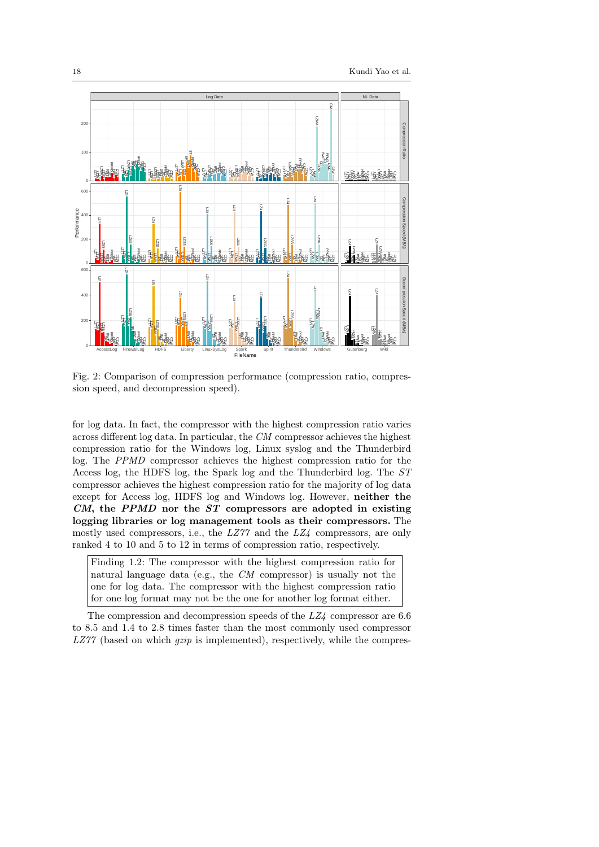

Fig. 2: Comparison of compression performance (compression ratio, compression speed, and decompression speed).

for log data. In fact, the compressor with the highest compression ratio varies across different log data. In particular, the CM compressor achieves the highest compression ratio for the Windows log, Linux syslog and the Thunderbird log. The PPMD compressor achieves the highest compression ratio for the Access log, the HDFS log, the Spark log and the Thunderbird log. The ST compressor achieves the highest compression ratio for the majority of log data except for Access log, HDFS log and Windows log. However, neither the CM, the PPMD nor the ST compressors are adopted in existing logging libraries or log management tools as their compressors. The mostly used compressors, i.e., the  $LZ\gamma\gamma$  and the  $LZ\gamma$  compressors, are only ranked 4 to 10 and 5 to 12 in terms of compression ratio, respectively.

Finding 1.2: The compressor with the highest compression ratio for natural language data (e.g., the CM compressor) is usually not the one for log data. The compressor with the highest compression ratio for one log format may not be the one for another log format either.

The compression and decompression speeds of the  $LZ<sub>4</sub>$  compressor are 6.6 to 8.5 and 1.4 to 2.8 times faster than the most commonly used compressor  $LZ77$  (based on which  $gzip$  is implemented), respectively, while the compres-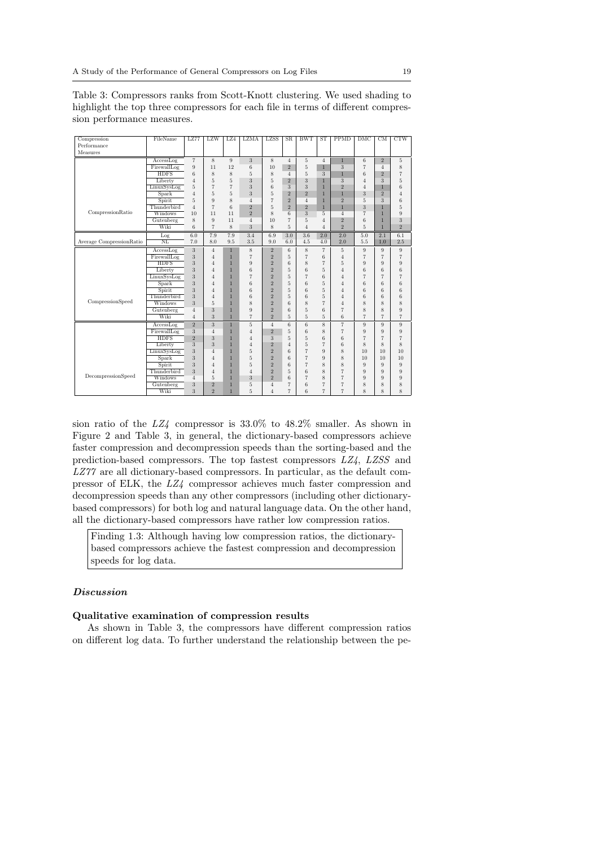| Compression              | FileName    | LZ77                      | LZW                     | LZ4            | <b>LZMA</b>    | <b>LZSS</b>    | $_{\rm SR}$     | <b>BWT</b>                | <b>ST</b>      | PPMD           | DMC            | $\overline{\text{CM}}$  | CTW                      |
|--------------------------|-------------|---------------------------|-------------------------|----------------|----------------|----------------|-----------------|---------------------------|----------------|----------------|----------------|-------------------------|--------------------------|
| Performance              |             |                           |                         |                |                |                |                 |                           |                |                |                |                         |                          |
| Measures                 |             |                           |                         |                |                |                |                 |                           |                |                |                |                         |                          |
|                          | AccessLog   | $\overline{7}$            | 8                       | 9              | 3              | 8              | $\overline{4}$  | 5                         | $\overline{4}$ | $\mathbf{1}$   | 6              | $\overline{2}$          | 5                        |
|                          | FirewallLog | 9                         | 11                      | 12             | 6              | 10             | $\overline{2}$  | 5                         | $\mathbf{1}$   | 3              | $\overline{7}$ | $\overline{4}$          | 8                        |
|                          | <b>HDFS</b> | $6\overline{6}$           | 8                       | 8              | 5              | $\overline{8}$ | $\overline{4}$  | $\overline{5}$            | 3              | $\mathbf{1}$   | 6              | $\overline{2}$          | $\overline{7}$           |
|                          | Liberty     | $\overline{4}$            | 5                       | 5              | 3              | 5              | $\overline{2}$  | 3                         | $\mathbf{1}$   | 3              | $\overline{4}$ | 3                       | 5                        |
|                          | LinuxSysLog | 5                         | $\overline{7}$          | $\overline{7}$ | 3              | 6              | 3               | $\overline{\overline{3}}$ | $\mathbf{1}$   | $\overline{2}$ | $\overline{4}$ | $\overline{1}$          | 6                        |
|                          | Spark       | $\overline{4}$            | 5                       | 5              | 3              | 5              | $\overline{2}$  | $\overline{2}$            | $\mathbf{1}$   | $\overline{1}$ | 3              | $\overline{2}$          | $\overline{4}$           |
|                          | Spirit      | 5                         | 9                       | 8              | $\overline{4}$ | $\overline{7}$ | $\overline{2}$  | $\overline{4}$            | $\mathbf{1}$   | $\overline{2}$ | 5              | 3                       | 6                        |
|                          | Thunderbird | $\overline{4}$            | $\overline{7}$          | 6              | $\overline{2}$ | 5              | $\overline{2}$  | $\overline{2}$            | $\mathbf{1}$   | $\overline{1}$ | 3              | $\overline{1}$          | 5                        |
| CompressionRatio         | Windows     | 10                        | 11                      | 11             | $\overline{2}$ | 8              | 6               | 3                         | 5              | $\overline{4}$ | 7              | $\overline{1}$          | 9                        |
|                          | Gutenberg   | 8                         | 9                       | 11             | $\overline{4}$ | 10             | $\overline{7}$  | 5                         | $\overline{4}$ | $\overline{2}$ | 6              | $\overline{1}$          | 3                        |
|                          | Wiki        | $\overline{6}$            | $\overline{7}$          | $\overline{8}$ | $\overline{3}$ | $\overline{8}$ | $\overline{5}$  | $\overline{4}$            | $\overline{4}$ | $\overline{2}$ | $\overline{5}$ | $\overline{1}$          | $\overline{2}$           |
|                          | Log         | 6.0                       | 7.9                     | 7.9            | 3.4            | 6.9            | 3.0             | 3.6                       | 2.0            | 2.0            | 5.0            | 2.1                     | 6.1                      |
| Average CompressionRatio | NL          | 7.0                       | 8.0                     | 9.5            | 3.5            | 9.0            | 6.0             | 4.5                       | 4.0            | 2.0            | $5.5\,$        | 1.0                     | 2.5                      |
|                          | AccessLog   | 3                         | $\overline{4}$          | 1              | 8              | $\overline{2}$ | 6               | 8                         | $\overline{7}$ | 5              | 9              | 9                       | $\overline{9}$           |
|                          | FirewallLog | 3                         | $\overline{4}$          | 1              | $\overline{7}$ | $\overline{2}$ | 5               | $\overline{7}$            | 6              | $\overline{4}$ | 7              | 7                       | $\overline{7}$           |
|                          | <b>HDFS</b> | 3                         | $\overline{4}$          |                | 9              | $\overline{2}$ | 6               | 8                         | $\overline{7}$ | 5              | 9              | 9                       | 9                        |
|                          | Liberty     | $\overline{\overline{3}}$ | $\overline{4}$          | 1              | $\overline{6}$ | $\overline{2}$ | $\overline{5}$  | $6\overline{6}$           | $\overline{5}$ | $\overline{4}$ | $\overline{6}$ | $\overline{6}$          | $6\overline{6}$          |
|                          | LinuxSysLog | 3                         | $\overline{4}$          | 1              | $\overline{7}$ | $\overline{2}$ | 5               | $\overline{7}$            | 6              | $\overline{4}$ | $\overline{7}$ | $\overline{7}$          | $\overline{7}$           |
|                          | Spark       | 3                         | $\overline{4}$          | 1              | 6              | $\overline{2}$ | 5               | 6                         | 5              | $\overline{4}$ | 6              | 6                       | 6                        |
|                          | Spirit      | $\overline{\overline{3}}$ | $\overline{4}$          | 1              | $\overline{6}$ | $\overline{2}$ | $\overline{5}$  | $\overline{6}$            | $\overline{5}$ | $\overline{4}$ | $\overline{6}$ | $\overline{6}$          | $6\overline{6}$          |
|                          | Thunderbird | 3                         | $\overline{4}$          | 1              | 6              | $\overline{2}$ | 5               | 6                         | 5              | $\overline{4}$ | 6              | 6                       | 6                        |
| CompressionSpeed         | Windows     | 3                         | 5                       | 1              | 8              | $\overline{2}$ | 6               | 8                         | $\overline{7}$ | $\overline{4}$ | 8              | 8                       | 8                        |
|                          | Gutenberg   | $\overline{4}$            | $\overline{\mathbf{3}}$ | 1              | $\overline{9}$ | $\overline{2}$ | $\overline{6}$  | 5                         | $\overline{6}$ | $\overline{7}$ | $\overline{8}$ | $\overline{8}$          | 9                        |
|                          | Wiki        | $\overline{4}$            | 3                       | $\overline{1}$ | $\overline{7}$ | $\overline{2}$ | 5               | 5                         | 5              | 6              | $\overline{7}$ | $\overline{7}$          | $\overline{7}$           |
|                          | AccessLog   | $\overline{2}$            | $\overline{3}$          | 1              | 5              | $\overline{4}$ | $6\overline{6}$ | $\overline{6}$            | $\overline{8}$ | 7              | 9              | 9                       | 9                        |
|                          | FirewallLog | $\overline{3}$            | $\overline{4}$          | $\mathbf{1}$   | $\overline{4}$ | $\overline{2}$ | $\overline{5}$  | $\overline{6}$            | $\overline{8}$ | $\overline{7}$ | $\overline{9}$ | $\overline{9}$          | 9                        |
|                          | <b>HDFS</b> | $\overline{2}$            | 3                       | 1              | $\overline{4}$ | 3              | 5               | 5                         | 6              | 6              | $\overline{7}$ | $\overline{7}$          | $\overline{\phantom{a}}$ |
|                          | Liberty     | $\overline{\overline{3}}$ | $\overline{\mathbf{3}}$ | 1              | $\overline{4}$ | $\overline{2}$ | $\overline{4}$  | $\overline{5}$            | $\overline{7}$ | $\overline{6}$ | 8              | 8                       | 8                        |
|                          | LinuxSysLog | 3                         | $\overline{4}$          | 1              | 5              | $\overline{2}$ | 6               | $\overline{7}$            | 9              | 8              | 10             | 10                      | 10                       |
|                          | Spark       | 3                         | $\overline{4}$          | 1              | 5              | $\overline{2}$ | 6               | $\overline{7}$            | 9              | 8              | 10             | 10                      | 10                       |
|                          | Spirit      | $\overline{\overline{3}}$ | $\overline{4}$          | 1              | $\overline{5}$ | $\overline{2}$ | $\overline{6}$  | $\overline{7}$            | $\overline{8}$ | $\overline{8}$ | 9              | 9                       | 9                        |
|                          | Thunderbird | 3                         | 4                       | 1              | $\overline{4}$ | $\overline{2}$ | 5               | 6                         | 8              | $\overline{7}$ | 9              | 9                       | 9                        |
| DecompressionSpeed       | Windows     | $\overline{4}$            | 5                       |                | 3              | $\overline{2}$ | 6               | $\overline{7}$            | 8              | $\overline{7}$ | 9              | 9                       | 9                        |
|                          | Gutenberg   | $\overline{\overline{3}}$ | $\overline{2}$          |                | 5              | $\overline{4}$ | $\overline{7}$  | $\overline{6}$            | 7              | $\overline{7}$ | $\overline{8}$ | $\overline{8}$          | $\overline{8}$           |
|                          | Wiki        | 3                         | $\overline{2}$          |                | 5              | $\overline{4}$ | $\overline{7}$  | 6                         | $\overline{7}$ | $\overline{7}$ | 8              | $\overline{\mathbf{x}}$ | 8                        |

Table 3: Compressors ranks from Scott-Knott clustering. We used shading to highlight the top three compressors for each file in terms of different compression performance measures.

sion ratio of the  $LZ<sub>4</sub>$  compressor is 33.0% to 48.2% smaller. As shown in Figure 2 and Table 3, in general, the dictionary-based compressors achieve faster compression and decompression speeds than the sorting-based and the prediction-based compressors. The top fastest compressors LZ4, LZSS and LZ77 are all dictionary-based compressors. In particular, as the default compressor of ELK, the LZ4 compressor achieves much faster compression and decompression speeds than any other compressors (including other dictionarybased compressors) for both log and natural language data. On the other hand, all the dictionary-based compressors have rather low compression ratios.

Finding 1.3: Although having low compression ratios, the dictionarybased compressors achieve the fastest compression and decompression speeds for log data.

### Discussion

# Qualitative examination of compression results

As shown in Table 3, the compressors have different compression ratios on different log data. To further understand the relationship between the pe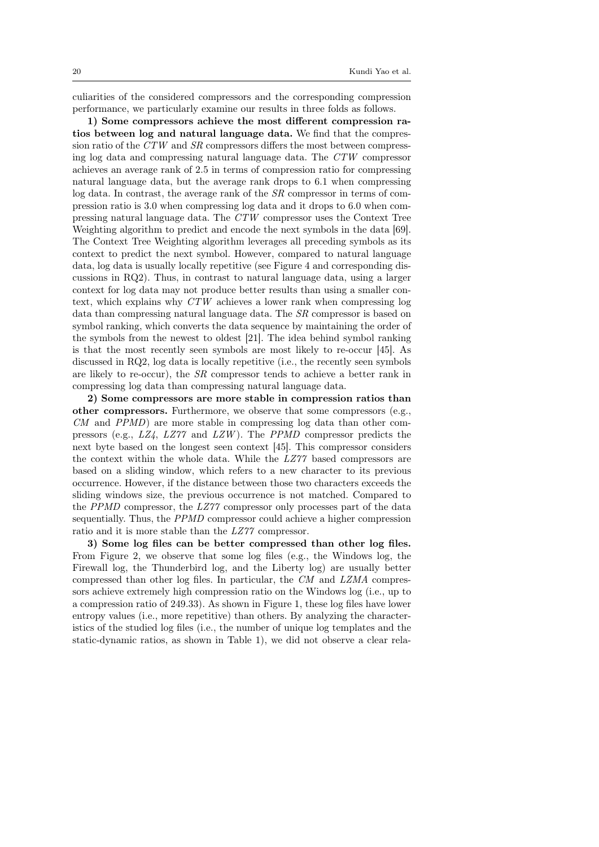culiarities of the considered compressors and the corresponding compression performance, we particularly examine our results in three folds as follows.

1) Some compressors achieve the most different compression ratios between log and natural language data. We find that the compression ratio of the CTW and SR compressors differs the most between compressing log data and compressing natural language data. The CTW compressor achieves an average rank of 2.5 in terms of compression ratio for compressing natural language data, but the average rank drops to 6.1 when compressing log data. In contrast, the average rank of the SR compressor in terms of compression ratio is 3.0 when compressing log data and it drops to 6.0 when compressing natural language data. The CTW compressor uses the Context Tree Weighting algorithm to predict and encode the next symbols in the data [69]. The Context Tree Weighting algorithm leverages all preceding symbols as its context to predict the next symbol. However, compared to natural language data, log data is usually locally repetitive (see Figure 4 and corresponding discussions in RQ2). Thus, in contrast to natural language data, using a larger context for log data may not produce better results than using a smaller context, which explains why CTW achieves a lower rank when compressing log data than compressing natural language data. The SR compressor is based on symbol ranking, which converts the data sequence by maintaining the order of the symbols from the newest to oldest [21]. The idea behind symbol ranking is that the most recently seen symbols are most likely to re-occur [45]. As discussed in RQ2, log data is locally repetitive (i.e., the recently seen symbols are likely to re-occur), the SR compressor tends to achieve a better rank in compressing log data than compressing natural language data.

2) Some compressors are more stable in compression ratios than other compressors. Furthermore, we observe that some compressors (e.g., CM and PPMD) are more stable in compressing log data than other compressors (e.g.,  $LZ4$ ,  $LZ77$  and  $LZW$ ). The PPMD compressor predicts the next byte based on the longest seen context [45]. This compressor considers the context within the whole data. While the LZ77 based compressors are based on a sliding window, which refers to a new character to its previous occurrence. However, if the distance between those two characters exceeds the sliding windows size, the previous occurrence is not matched. Compared to the PPMD compressor, the LZ77 compressor only processes part of the data sequentially. Thus, the PPMD compressor could achieve a higher compression ratio and it is more stable than the LZ77 compressor.

3) Some log files can be better compressed than other log files. From Figure 2, we observe that some log files (e.g., the Windows log, the Firewall log, the Thunderbird log, and the Liberty log) are usually better compressed than other log files. In particular, the CM and LZMA compressors achieve extremely high compression ratio on the Windows log (i.e., up to a compression ratio of 249.33). As shown in Figure 1, these log files have lower entropy values (i.e., more repetitive) than others. By analyzing the characteristics of the studied log files (i.e., the number of unique log templates and the static-dynamic ratios, as shown in Table 1), we did not observe a clear rela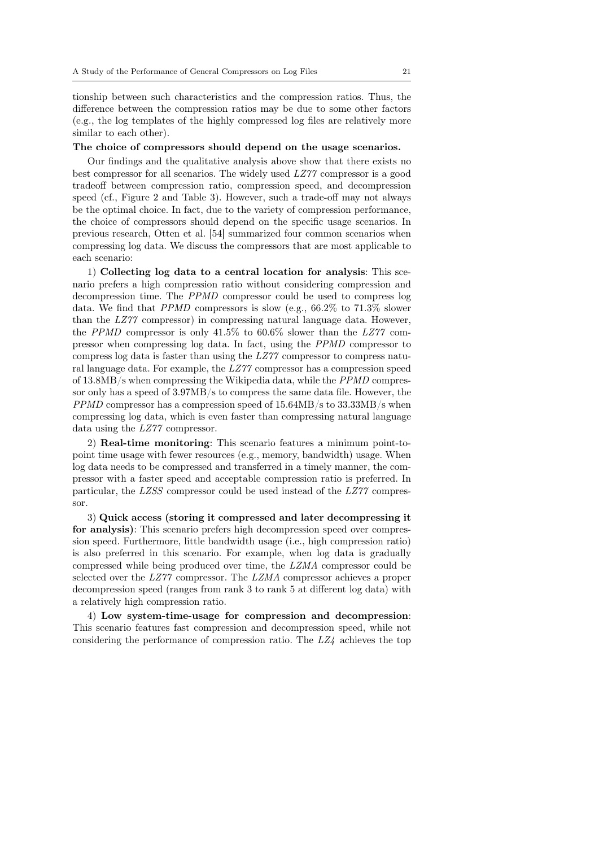tionship between such characteristics and the compression ratios. Thus, the difference between the compression ratios may be due to some other factors (e.g., the log templates of the highly compressed log files are relatively more similar to each other).

### The choice of compressors should depend on the usage scenarios.

Our findings and the qualitative analysis above show that there exists no best compressor for all scenarios. The widely used LZ77 compressor is a good tradeoff between compression ratio, compression speed, and decompression speed (cf., Figure 2 and Table 3). However, such a trade-off may not always be the optimal choice. In fact, due to the variety of compression performance, the choice of compressors should depend on the specific usage scenarios. In previous research, Otten et al. [54] summarized four common scenarios when compressing log data. We discuss the compressors that are most applicable to each scenario:

1) Collecting log data to a central location for analysis: This scenario prefers a high compression ratio without considering compression and decompression time. The PPMD compressor could be used to compress log data. We find that PPMD compressors is slow (e.g., 66.2% to 71.3% slower than the LZ77 compressor) in compressing natural language data. However, the PPMD compressor is only 41.5% to 60.6% slower than the LZ77 compressor when compressing log data. In fact, using the PPMD compressor to compress log data is faster than using the LZ77 compressor to compress natural language data. For example, the LZ77 compressor has a compression speed of 13.8MB/s when compressing the Wikipedia data, while the PPMD compressor only has a speed of 3.97MB/s to compress the same data file. However, the PPMD compressor has a compression speed of 15.64MB/s to 33.33MB/s when compressing log data, which is even faster than compressing natural language data using the LZ77 compressor.

2) Real-time monitoring: This scenario features a minimum point-topoint time usage with fewer resources (e.g., memory, bandwidth) usage. When log data needs to be compressed and transferred in a timely manner, the compressor with a faster speed and acceptable compression ratio is preferred. In particular, the LZSS compressor could be used instead of the LZ77 compressor.

3) Quick access (storing it compressed and later decompressing it for analysis): This scenario prefers high decompression speed over compression speed. Furthermore, little bandwidth usage (i.e., high compression ratio) is also preferred in this scenario. For example, when log data is gradually compressed while being produced over time, the LZMA compressor could be selected over the LZ77 compressor. The LZMA compressor achieves a proper decompression speed (ranges from rank 3 to rank 5 at different log data) with a relatively high compression ratio.

4) Low system-time-usage for compression and decompression: This scenario features fast compression and decompression speed, while not considering the performance of compression ratio. The LZ4 achieves the top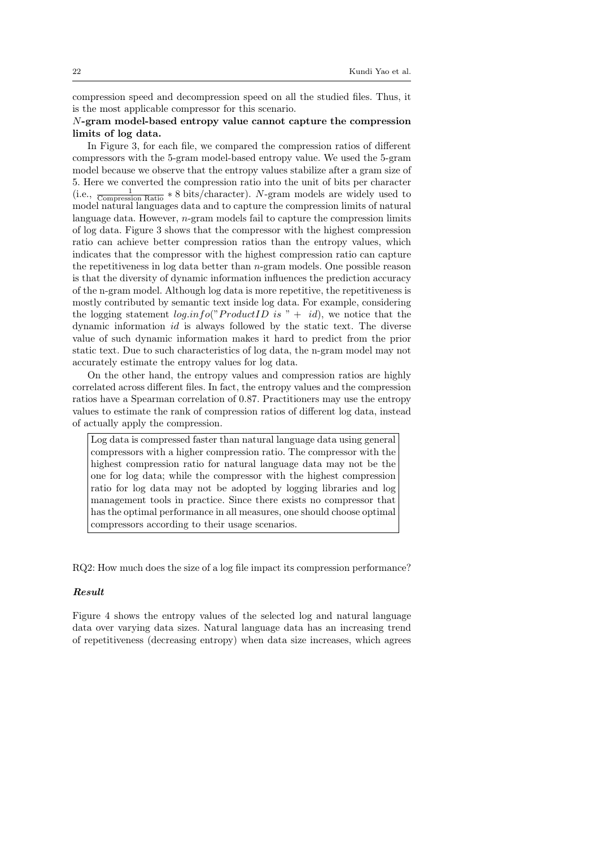compression speed and decompression speed on all the studied files. Thus, it is the most applicable compressor for this scenario.

# N-gram model-based entropy value cannot capture the compression limits of log data.

In Figure 3, for each file, we compared the compression ratios of different compressors with the 5-gram model-based entropy value. We used the 5-gram model because we observe that the entropy values stabilize after a gram size of 5. Here we converted the compression ratio into the unit of bits per character (i.e.,  $\frac{1}{\text{Compression Ratio}} * 8 \text{ bits/character}$ ). N-gram models are widely used to model natural languages data and to capture the compression limits of natural language data. However,  $n$ -gram models fail to capture the compression limits of log data. Figure 3 shows that the compressor with the highest compression ratio can achieve better compression ratios than the entropy values, which indicates that the compressor with the highest compression ratio can capture the repetitiveness in log data better than  $n$ -gram models. One possible reason is that the diversity of dynamic information influences the prediction accuracy of the n-gram model. Although log data is more repetitive, the repetitiveness is mostly contributed by semantic text inside log data. For example, considering the logging statement  $log.info("ProductID is " + id),$  we notice that the dynamic information id is always followed by the static text. The diverse value of such dynamic information makes it hard to predict from the prior static text. Due to such characteristics of log data, the n-gram model may not accurately estimate the entropy values for log data.

On the other hand, the entropy values and compression ratios are highly correlated across different files. In fact, the entropy values and the compression ratios have a Spearman correlation of 0.87. Practitioners may use the entropy values to estimate the rank of compression ratios of different log data, instead of actually apply the compression.

Log data is compressed faster than natural language data using general compressors with a higher compression ratio. The compressor with the highest compression ratio for natural language data may not be the one for log data; while the compressor with the highest compression ratio for log data may not be adopted by logging libraries and log management tools in practice. Since there exists no compressor that has the optimal performance in all measures, one should choose optimal compressors according to their usage scenarios.

RQ2: How much does the size of a log file impact its compression performance?

### Result

Figure 4 shows the entropy values of the selected log and natural language data over varying data sizes. Natural language data has an increasing trend of repetitiveness (decreasing entropy) when data size increases, which agrees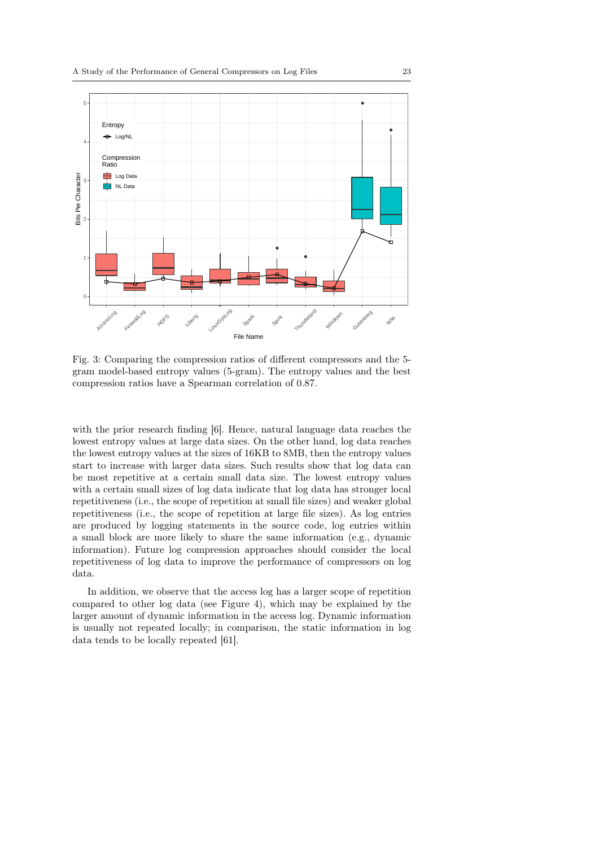

Fig. 3: Comparing the compression ratios of different compressors and the 5 gram model-based entropy values (5-gram). The entropy values and the best compression ratios have a Spearman correlation of 0.87.

with the prior research finding [6]. Hence, natural language data reaches the lowest entropy values at large data sizes. On the other hand, log data reaches the lowest entropy values at the sizes of 16KB to 8MB, then the entropy values start to increase with larger data sizes. Such results show that log data can be most repetitive at a certain small data size. The lowest entropy values with a certain small sizes of log data indicate that log data has stronger local repetitiveness (i.e., the scope of repetition at small file sizes) and weaker global repetitiveness (i.e., the scope of repetition at large file sizes). As log entries are produced by logging statements in the source code, log entries within a small block are more likely to share the same information (e.g., dynamic information). Future log compression approaches should consider the local repetitiveness of log data to improve the performance of compressors on log data.

In addition, we observe that the access log has a larger scope of repetition compared to other log data (see Figure 4), which may be explained by the larger amount of dynamic information in the access log. Dynamic information is usually not repeated locally; in comparison, the static information in log data tends to be locally repeated [61].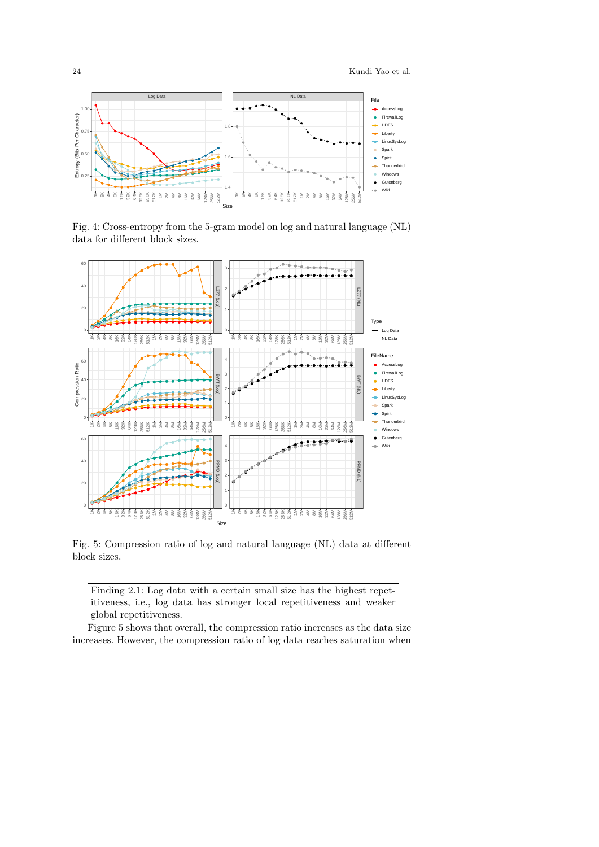

Fig. 4: Cross-entropy from the 5-gram model on log and natural language (NL) data for different block sizes.



Fig. 5: Compression ratio of log and natural language (NL) data at different block sizes.

Finding 2.1: Log data with a certain small size has the highest repetitiveness, i.e., log data has stronger local repetitiveness and weaker global repetitiveness.

Figure 5 shows that overall, the compression ratio increases as the data size increases. However, the compression ratio of log data reaches saturation when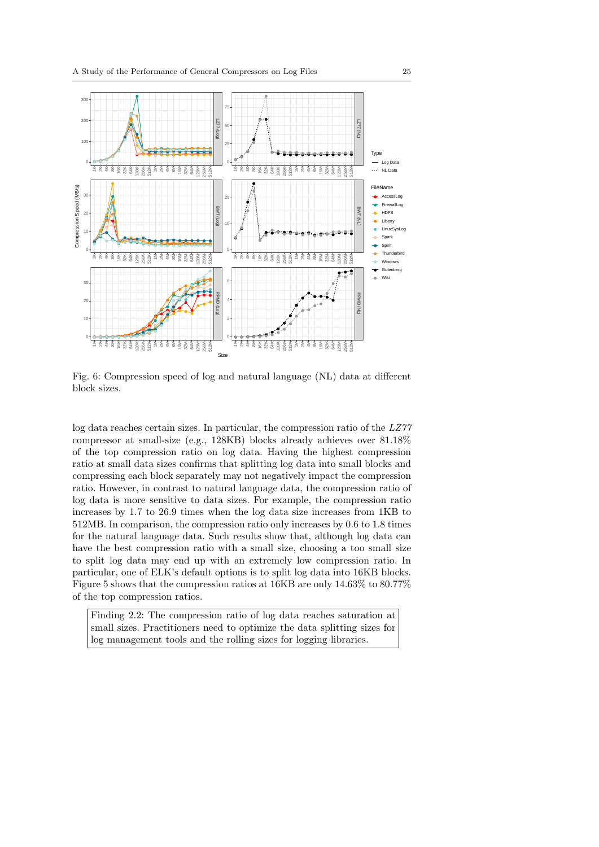

Fig. 6: Compression speed of log and natural language (NL) data at different block sizes.

log data reaches certain sizes. In particular, the compression ratio of the LZ77 compressor at small-size (e.g., 128KB) blocks already achieves over 81.18% of the top compression ratio on log data. Having the highest compression ratio at small data sizes confirms that splitting log data into small blocks and compressing each block separately may not negatively impact the compression ratio. However, in contrast to natural language data, the compression ratio of log data is more sensitive to data sizes. For example, the compression ratio increases by 1.7 to 26.9 times when the log data size increases from 1KB to 512MB. In comparison, the compression ratio only increases by 0.6 to 1.8 times for the natural language data. Such results show that, although log data can have the best compression ratio with a small size, choosing a too small size to split log data may end up with an extremely low compression ratio. In particular, one of ELK's default options is to split log data into 16KB blocks. Figure 5 shows that the compression ratios at 16KB are only 14.63% to 80.77% of the top compression ratios.

Finding 2.2: The compression ratio of log data reaches saturation at small sizes. Practitioners need to optimize the data splitting sizes for log management tools and the rolling sizes for logging libraries.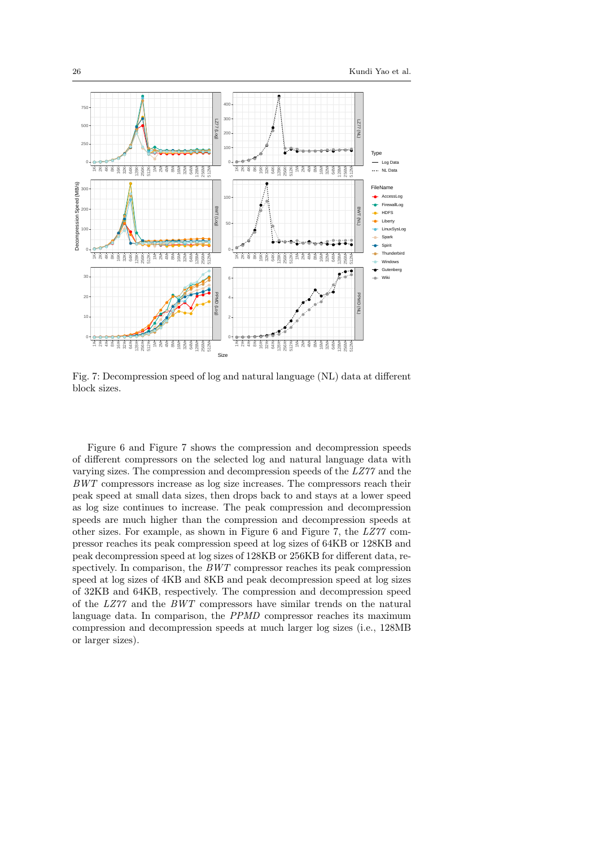

Fig. 7: Decompression speed of log and natural language (NL) data at different block sizes.

Figure 6 and Figure 7 shows the compression and decompression speeds of different compressors on the selected log and natural language data with varying sizes. The compression and decompression speeds of the LZ77 and the BWT compressors increase as log size increases. The compressors reach their peak speed at small data sizes, then drops back to and stays at a lower speed as log size continues to increase. The peak compression and decompression speeds are much higher than the compression and decompression speeds at other sizes. For example, as shown in Figure 6 and Figure 7, the LZ77 compressor reaches its peak compression speed at log sizes of 64KB or 128KB and peak decompression speed at log sizes of 128KB or 256KB for different data, respectively. In comparison, the BWT compressor reaches its peak compression speed at log sizes of 4KB and 8KB and peak decompression speed at log sizes of 32KB and 64KB, respectively. The compression and decompression speed of the LZ77 and the BWT compressors have similar trends on the natural language data. In comparison, the PPMD compressor reaches its maximum compression and decompression speeds at much larger log sizes (i.e., 128MB or larger sizes).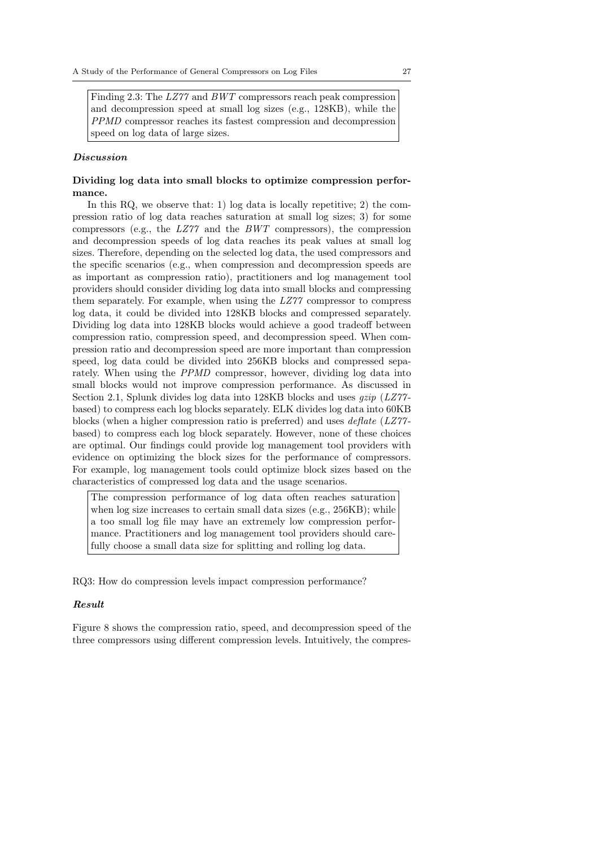Finding 2.3: The LZ77 and BWT compressors reach peak compression and decompression speed at small log sizes (e.g., 128KB), while the PPMD compressor reaches its fastest compression and decompression speed on log data of large sizes.

### Discussion

# Dividing log data into small blocks to optimize compression performance.

In this RQ, we observe that: 1) log data is locally repetitive; 2) the compression ratio of log data reaches saturation at small log sizes; 3) for some compressors (e.g., the LZ77 and the BWT compressors), the compression and decompression speeds of log data reaches its peak values at small log sizes. Therefore, depending on the selected log data, the used compressors and the specific scenarios (e.g., when compression and decompression speeds are as important as compression ratio), practitioners and log management tool providers should consider dividing log data into small blocks and compressing them separately. For example, when using the LZ77 compressor to compress log data, it could be divided into 128KB blocks and compressed separately. Dividing log data into 128KB blocks would achieve a good tradeoff between compression ratio, compression speed, and decompression speed. When compression ratio and decompression speed are more important than compression speed, log data could be divided into 256KB blocks and compressed separately. When using the PPMD compressor, however, dividing log data into small blocks would not improve compression performance. As discussed in Section 2.1, Splunk divides log data into 128KB blocks and uses *gzip*  $(LZ77$ based) to compress each log blocks separately. ELK divides log data into 60KB blocks (when a higher compression ratio is preferred) and uses  $\text{deflate}(LZ77$ based) to compress each log block separately. However, none of these choices are optimal. Our findings could provide log management tool providers with evidence on optimizing the block sizes for the performance of compressors. For example, log management tools could optimize block sizes based on the characteristics of compressed log data and the usage scenarios.

The compression performance of log data often reaches saturation when log size increases to certain small data sizes (e.g., 256KB); while a too small log file may have an extremely low compression performance. Practitioners and log management tool providers should carefully choose a small data size for splitting and rolling log data.

RQ3: How do compression levels impact compression performance?

## Result

Figure 8 shows the compression ratio, speed, and decompression speed of the three compressors using different compression levels. Intuitively, the compres-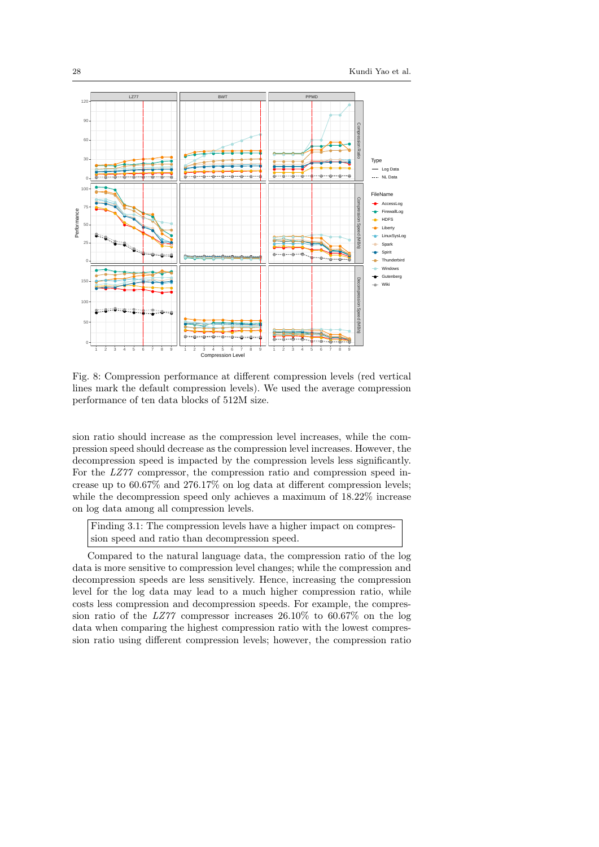

Fig. 8: Compression performance at different compression levels (red vertical lines mark the default compression levels). We used the average compression performance of ten data blocks of 512M size.

sion ratio should increase as the compression level increases, while the compression speed should decrease as the compression level increases. However, the decompression speed is impacted by the compression levels less significantly. For the LZ77 compressor, the compression ratio and compression speed increase up to 60.67% and 276.17% on log data at different compression levels; while the decompression speed only achieves a maximum of 18.22% increase on log data among all compression levels.

Finding 3.1: The compression levels have a higher impact on compression speed and ratio than decompression speed.

Compared to the natural language data, the compression ratio of the log data is more sensitive to compression level changes; while the compression and decompression speeds are less sensitively. Hence, increasing the compression level for the log data may lead to a much higher compression ratio, while costs less compression and decompression speeds. For example, the compression ratio of the LZ77 compressor increases 26.10% to 60.67% on the log data when comparing the highest compression ratio with the lowest compression ratio using different compression levels; however, the compression ratio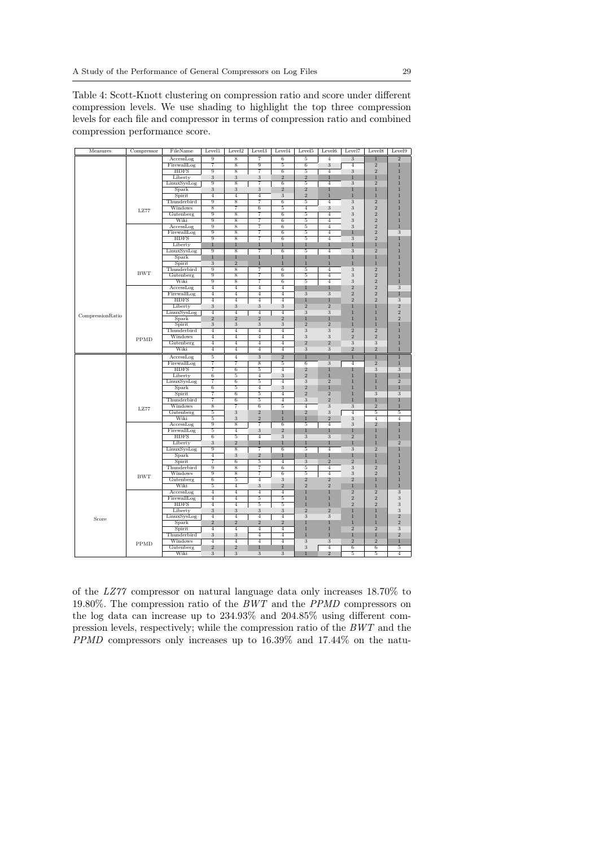Table 4: Scott-Knott clustering on compression ratio and score under different compression levels. We use shading to highlight the top three compression levels for each file and compressor in terms of compression ratio and combined compression performance score.

of the LZ77 compressor on natural language data only increases 18.70% to 19.80%. The compression ratio of the  $BWT$  and the  $PPMD$  compressors on the log data can increase up to 234.93% and 204.85% using different compression levels, respectively; while the compression ratio of the BWT and the PPMD compressors only increases up to 16.39% and 17.44% on the natu-

Gutenberg 6 5 4 3 2 2 2 1 1 Wiki 5 4 3 2 2 2 1 1 1

AccessLog  $4 4 4 4 4 1 1 1 2 2 3$ FirewallLog 4 4 5 5 1 1 2 2 3 HDFS 4 4 5 5 1 1 2 2 3 Liberty 3 3 3 3 3 3 2 2 1 1 3  $\text{LinuxSys}$  4 4 4 4 3 3 1 1 2 Spark 2 2 2 2 2 1 1 1 1 2 Spirit | 4 | 4 | 4 | 4 | 1 | 1 | 2 | 2 | 3 Thunderbird  $3 \mid 3 \mid 4 \mid 4 \mid 1 \mid 1 \mid 1 \mid 2$ Windows | 4 | 4 | 4 | 4 | 3 | 3 | 2 | 2 | 1 Gutenberg 2 2 1 1 1 3 4 6 6 5 Wiki 3 3 3 3 3 1 2 5 5 4

Score

PPMD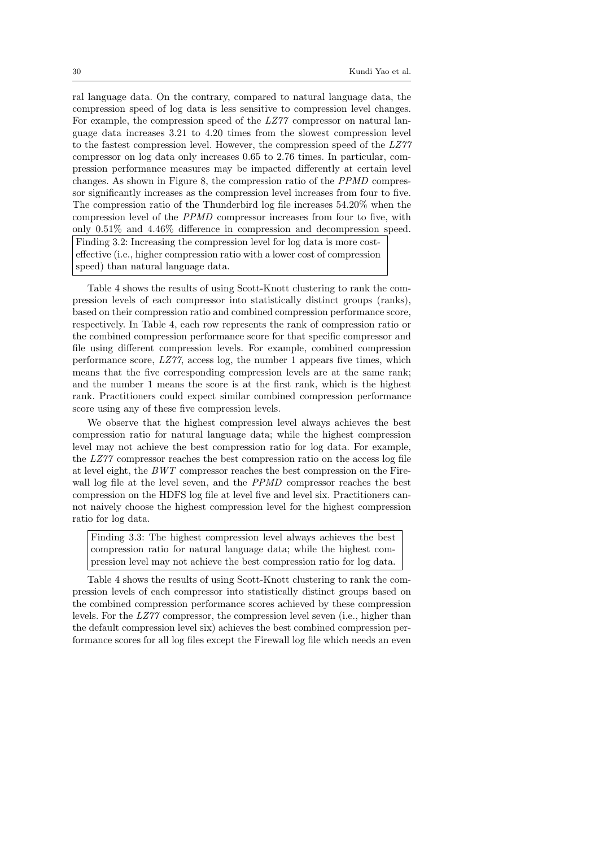ral language data. On the contrary, compared to natural language data, the compression speed of log data is less sensitive to compression level changes. For example, the compression speed of the LZ77 compressor on natural language data increases 3.21 to 4.20 times from the slowest compression level to the fastest compression level. However, the compression speed of the LZ77 compressor on log data only increases 0.65 to 2.76 times. In particular, compression performance measures may be impacted differently at certain level changes. As shown in Figure 8, the compression ratio of the PPMD compressor significantly increases as the compression level increases from four to five. The compression ratio of the Thunderbird log file increases 54.20% when the compression level of the PPMD compressor increases from four to five, with only 0.51% and 4.46% difference in compression and decompression speed.

Finding 3.2: Increasing the compression level for log data is more costeffective (i.e., higher compression ratio with a lower cost of compression speed) than natural language data.

Table 4 shows the results of using Scott-Knott clustering to rank the compression levels of each compressor into statistically distinct groups (ranks), based on their compression ratio and combined compression performance score, respectively. In Table 4, each row represents the rank of compression ratio or the combined compression performance score for that specific compressor and file using different compression levels. For example, combined compression performance score,  $LZ\gamma\gamma$ , access log, the number 1 appears five times, which means that the five corresponding compression levels are at the same rank; and the number 1 means the score is at the first rank, which is the highest rank. Practitioners could expect similar combined compression performance score using any of these five compression levels.

We observe that the highest compression level always achieves the best compression ratio for natural language data; while the highest compression level may not achieve the best compression ratio for log data. For example, the LZ77 compressor reaches the best compression ratio on the access log file at level eight, the BWT compressor reaches the best compression on the Firewall log file at the level seven, and the *PPMD* compressor reaches the best compression on the HDFS log file at level five and level six. Practitioners cannot naively choose the highest compression level for the highest compression ratio for log data.

Finding 3.3: The highest compression level always achieves the best compression ratio for natural language data; while the highest compression level may not achieve the best compression ratio for log data.

Table 4 shows the results of using Scott-Knott clustering to rank the compression levels of each compressor into statistically distinct groups based on the combined compression performance scores achieved by these compression levels. For the LZ77 compressor, the compression level seven (i.e., higher than the default compression level six) achieves the best combined compression performance scores for all log files except the Firewall log file which needs an even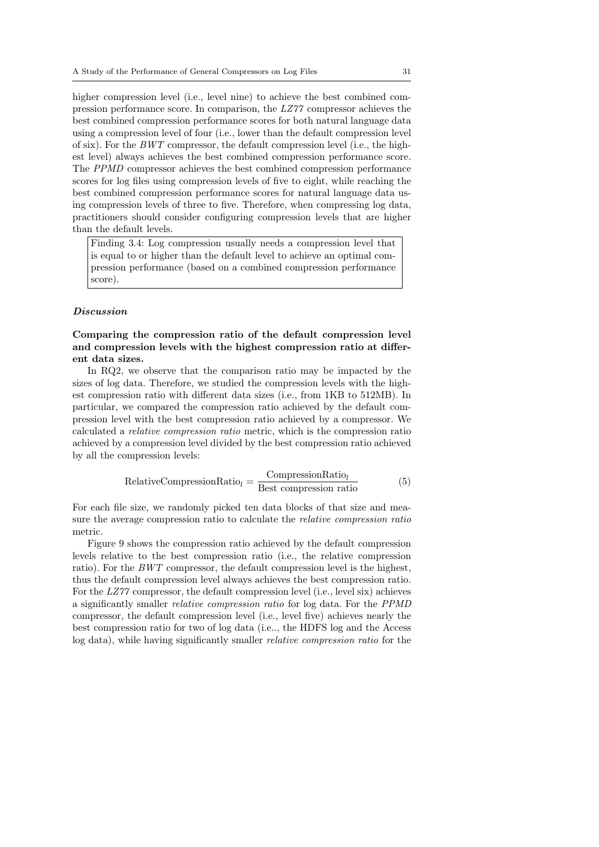higher compression level (i.e., level nine) to achieve the best combined compression performance score. In comparison, the LZ77 compressor achieves the best combined compression performance scores for both natural language data using a compression level of four (i.e., lower than the default compression level of six). For the BWT compressor, the default compression level (i.e., the highest level) always achieves the best combined compression performance score. The PPMD compressor achieves the best combined compression performance scores for log files using compression levels of five to eight, while reaching the best combined compression performance scores for natural language data using compression levels of three to five. Therefore, when compressing log data, practitioners should consider configuring compression levels that are higher than the default levels.

Finding 3.4: Log compression usually needs a compression level that is equal to or higher than the default level to achieve an optimal compression performance (based on a combined compression performance score).

### Discussion

# Comparing the compression ratio of the default compression level and compression levels with the highest compression ratio at different data sizes.

In RQ2, we observe that the comparison ratio may be impacted by the sizes of log data. Therefore, we studied the compression levels with the highest compression ratio with different data sizes (i.e., from 1KB to 512MB). In particular, we compared the compression ratio achieved by the default compression level with the best compression ratio achieved by a compressor. We calculated a relative compression ratio metric, which is the compression ratio achieved by a compression level divided by the best compression ratio achieved by all the compression levels:

$$
Relative CompressionRatio_{l} = \frac{CompressionRatio_{l}}{Best compression ratio}
$$
 (5)

For each file size, we randomly picked ten data blocks of that size and measure the average compression ratio to calculate the relative compression ratio metric.

Figure 9 shows the compression ratio achieved by the default compression levels relative to the best compression ratio (i.e., the relative compression ratio). For the BWT compressor, the default compression level is the highest, thus the default compression level always achieves the best compression ratio. For the LZ77 compressor, the default compression level (i.e., level six) achieves a significantly smaller relative compression ratio for log data. For the PPMD compressor, the default compression level (i.e., level five) achieves nearly the best compression ratio for two of log data (i.e.., the HDFS log and the Access log data), while having significantly smaller relative compression ratio for the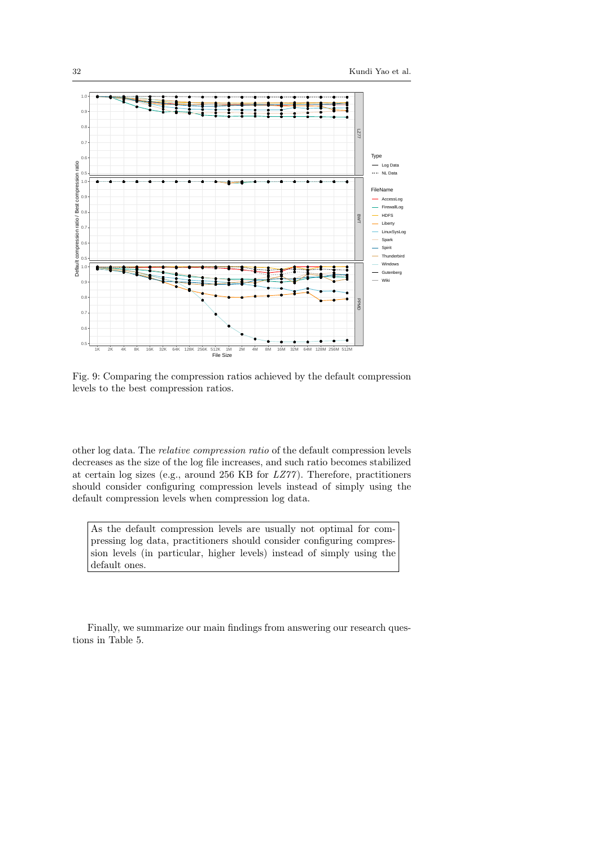

Fig. 9: Comparing the compression ratios achieved by the default compression levels to the best compression ratios.

other log data. The relative compression ratio of the default compression levels decreases as the size of the log file increases, and such ratio becomes stabilized at certain log sizes (e.g., around 256 KB for LZ77 ). Therefore, practitioners should consider configuring compression levels instead of simply using the default compression levels when compression log data.

As the default compression levels are usually not optimal for compressing log data, practitioners should consider configuring compression levels (in particular, higher levels) instead of simply using the default ones.

Finally, we summarize our main findings from answering our research questions in Table 5.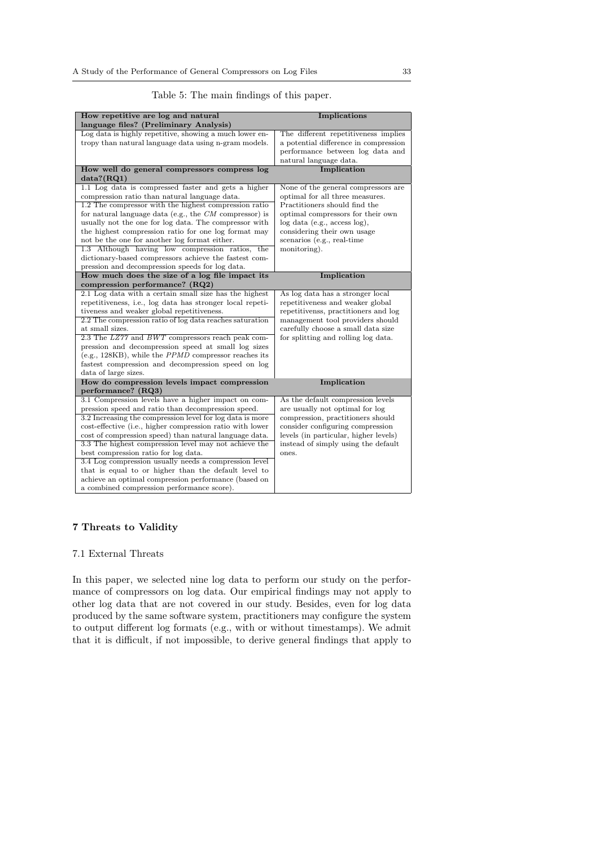| How repetitive are log and natural<br>language files? (Preliminary Analysis)                                     | <b>Implications</b>                                                                                                                         |  |  |  |  |  |
|------------------------------------------------------------------------------------------------------------------|---------------------------------------------------------------------------------------------------------------------------------------------|--|--|--|--|--|
| Log data is highly repetitive, showing a much lower en-<br>tropy than natural language data using n-gram models. | The different repetitiveness implies<br>a potential difference in compression<br>performance between log data and<br>natural language data. |  |  |  |  |  |
| How well do general compressors compress log                                                                     | Implication                                                                                                                                 |  |  |  |  |  |
| data?(RQ1)                                                                                                       |                                                                                                                                             |  |  |  |  |  |
| 1.1 Log data is compressed faster and gets a higher                                                              | None of the general compressors are                                                                                                         |  |  |  |  |  |
| compression ratio than natural language data.                                                                    | optimal for all three measures.                                                                                                             |  |  |  |  |  |
| 1.2 The compressor with the highest compression ratio                                                            | Practitioners should find the                                                                                                               |  |  |  |  |  |
| for natural language data (e.g., the $CM$ compressor) is                                                         | optimal compressors for their own                                                                                                           |  |  |  |  |  |
| usually not the one for log data. The compressor with                                                            | log data (e.g., access log),                                                                                                                |  |  |  |  |  |
| the highest compression ratio for one log format may                                                             | considering their own usage                                                                                                                 |  |  |  |  |  |
| not be the one for another log format either.                                                                    | scenarios (e.g., real-time                                                                                                                  |  |  |  |  |  |
| 1.3 Although having low compression ratios,<br>the                                                               | monitoring).                                                                                                                                |  |  |  |  |  |
| dictionary-based compressors achieve the fastest com-                                                            |                                                                                                                                             |  |  |  |  |  |
| pression and decompression speeds for log data.                                                                  |                                                                                                                                             |  |  |  |  |  |
| How much does the size of a log file impact its                                                                  | Implication                                                                                                                                 |  |  |  |  |  |
| compression performance? (RQ2)                                                                                   |                                                                                                                                             |  |  |  |  |  |
| 2.1 Log data with a certain small size has the highest                                                           | As log data has a stronger local                                                                                                            |  |  |  |  |  |
| repetitiveness, i.e., log data has stronger local repeti-                                                        | repetitiveness and weaker global                                                                                                            |  |  |  |  |  |
| tiveness and weaker global repetitiveness.                                                                       | repetitivenss, practitioners and log                                                                                                        |  |  |  |  |  |
| 2.2 The compression ratio of log data reaches saturation                                                         | management tool providers should                                                                                                            |  |  |  |  |  |
| at small sizes.                                                                                                  | carefully choose a small data size                                                                                                          |  |  |  |  |  |
| 2.3 The $LZ77$ and $BWT$ compressors reach peak com-                                                             | for splitting and rolling log data.                                                                                                         |  |  |  |  |  |
| pression and decompression speed at small log sizes                                                              |                                                                                                                                             |  |  |  |  |  |
| (e.g., $128KB$ ), while the <i>PPMD</i> compressor reaches its                                                   |                                                                                                                                             |  |  |  |  |  |
| fastest compression and decompression speed on log                                                               |                                                                                                                                             |  |  |  |  |  |
| data of large sizes.                                                                                             |                                                                                                                                             |  |  |  |  |  |
| How do compression levels impact compression<br>performance? (RQ3)                                               | Implication                                                                                                                                 |  |  |  |  |  |
| 3.1 Compression levels have a higher impact on com-                                                              | As the default compression levels                                                                                                           |  |  |  |  |  |
| pression speed and ratio than decompression speed.                                                               | are usually not optimal for log                                                                                                             |  |  |  |  |  |
| 3.2 Increasing the compression level for log data is more                                                        | compression, practitioners should                                                                                                           |  |  |  |  |  |
| cost-effective (i.e., higher compression ratio with lower                                                        | consider configuring compression                                                                                                            |  |  |  |  |  |
| cost of compression speed) than natural language data.                                                           | levels (in particular, higher levels)                                                                                                       |  |  |  |  |  |
| 3.3 The highest compression level may not achieve the                                                            | instead of simply using the default                                                                                                         |  |  |  |  |  |
| best compression ratio for log data.                                                                             | ones.                                                                                                                                       |  |  |  |  |  |
| 3.4 Log compression usually needs a compression level                                                            |                                                                                                                                             |  |  |  |  |  |
| that is equal to or higher than the default level to                                                             |                                                                                                                                             |  |  |  |  |  |
| achieve an optimal compression performance (based on                                                             |                                                                                                                                             |  |  |  |  |  |
| a combined compression performance score).                                                                       |                                                                                                                                             |  |  |  |  |  |

Table 5: The main findings of this paper.

# 7 Threats to Validity

## 7.1 External Threats

In this paper, we selected nine log data to perform our study on the performance of compressors on log data. Our empirical findings may not apply to other log data that are not covered in our study. Besides, even for log data produced by the same software system, practitioners may configure the system to output different log formats (e.g., with or without timestamps). We admit that it is difficult, if not impossible, to derive general findings that apply to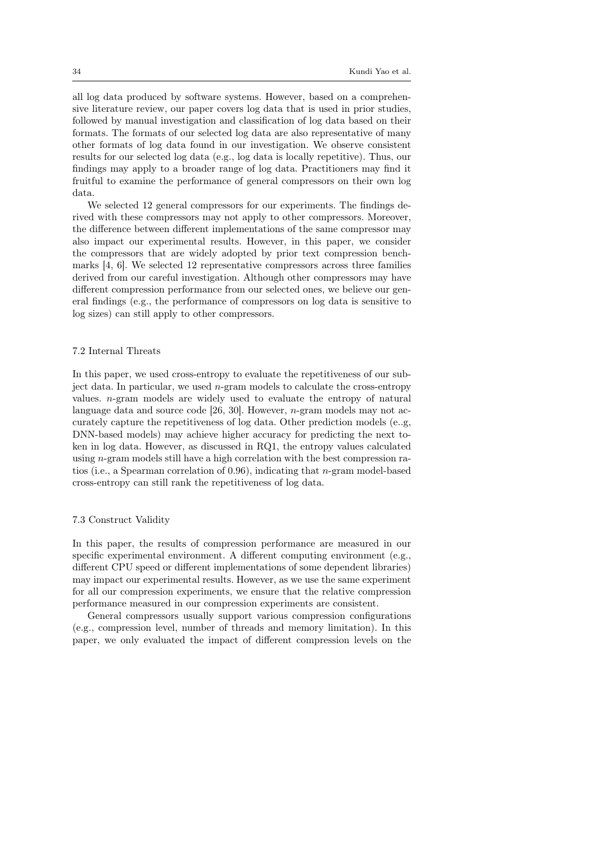all log data produced by software systems. However, based on a comprehensive literature review, our paper covers log data that is used in prior studies, followed by manual investigation and classification of log data based on their formats. The formats of our selected log data are also representative of many other formats of log data found in our investigation. We observe consistent results for our selected log data (e.g., log data is locally repetitive). Thus, our findings may apply to a broader range of log data. Practitioners may find it fruitful to examine the performance of general compressors on their own log data.

We selected 12 general compressors for our experiments. The findings derived with these compressors may not apply to other compressors. Moreover, the difference between different implementations of the same compressor may also impact our experimental results. However, in this paper, we consider the compressors that are widely adopted by prior text compression benchmarks [4, 6]. We selected 12 representative compressors across three families derived from our careful investigation. Although other compressors may have different compression performance from our selected ones, we believe our general findings (e.g., the performance of compressors on log data is sensitive to log sizes) can still apply to other compressors.

## 7.2 Internal Threats

In this paper, we used cross-entropy to evaluate the repetitiveness of our subject data. In particular, we used n-gram models to calculate the cross-entropy values. n-gram models are widely used to evaluate the entropy of natural language data and source code [26, 30]. However, *n*-gram models may not accurately capture the repetitiveness of log data. Other prediction models (e..g, DNN-based models) may achieve higher accuracy for predicting the next token in log data. However, as discussed in RQ1, the entropy values calculated using  $n$ -gram models still have a high correlation with the best compression ratios (i.e., a Spearman correlation of 0.96), indicating that *n*-gram model-based cross-entropy can still rank the repetitiveness of log data.

# 7.3 Construct Validity

In this paper, the results of compression performance are measured in our specific experimental environment. A different computing environment (e.g., different CPU speed or different implementations of some dependent libraries) may impact our experimental results. However, as we use the same experiment for all our compression experiments, we ensure that the relative compression performance measured in our compression experiments are consistent.

General compressors usually support various compression configurations (e.g., compression level, number of threads and memory limitation). In this paper, we only evaluated the impact of different compression levels on the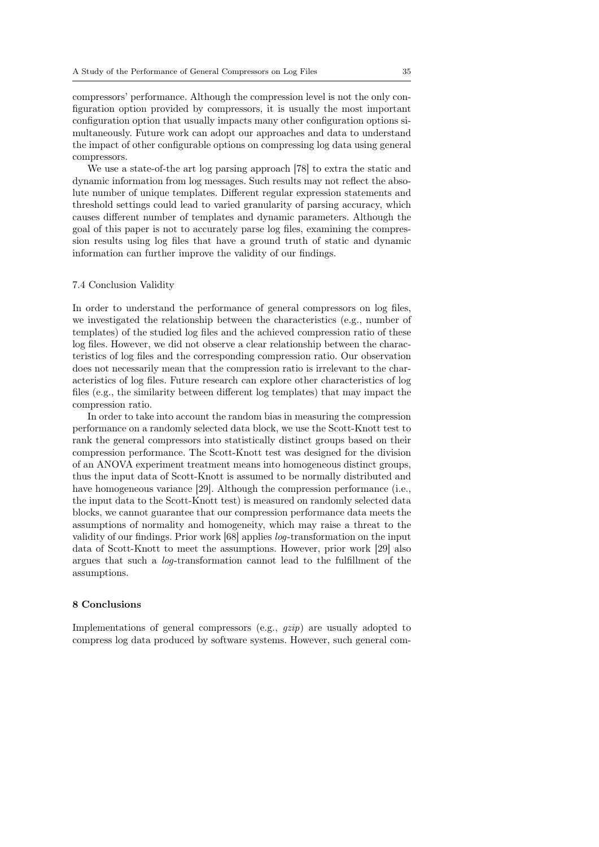compressors' performance. Although the compression level is not the only configuration option provided by compressors, it is usually the most important configuration option that usually impacts many other configuration options simultaneously. Future work can adopt our approaches and data to understand the impact of other configurable options on compressing log data using general compressors.

We use a state-of-the art log parsing approach [78] to extra the static and dynamic information from log messages. Such results may not reflect the absolute number of unique templates. Different regular expression statements and threshold settings could lead to varied granularity of parsing accuracy, which causes different number of templates and dynamic parameters. Although the goal of this paper is not to accurately parse log files, examining the compression results using log files that have a ground truth of static and dynamic information can further improve the validity of our findings.

#### 7.4 Conclusion Validity

In order to understand the performance of general compressors on log files, we investigated the relationship between the characteristics (e.g., number of templates) of the studied log files and the achieved compression ratio of these log files. However, we did not observe a clear relationship between the characteristics of log files and the corresponding compression ratio. Our observation does not necessarily mean that the compression ratio is irrelevant to the characteristics of log files. Future research can explore other characteristics of log files (e.g., the similarity between different log templates) that may impact the compression ratio.

In order to take into account the random bias in measuring the compression performance on a randomly selected data block, we use the Scott-Knott test to rank the general compressors into statistically distinct groups based on their compression performance. The Scott-Knott test was designed for the division of an ANOVA experiment treatment means into homogeneous distinct groups, thus the input data of Scott-Knott is assumed to be normally distributed and have homogeneous variance [29]. Although the compression performance (i.e., the input data to the Scott-Knott test) is measured on randomly selected data blocks, we cannot guarantee that our compression performance data meets the assumptions of normality and homogeneity, which may raise a threat to the validity of our findings. Prior work [68] applies log-transformation on the input data of Scott-Knott to meet the assumptions. However, prior work [29] also argues that such a log-transformation cannot lead to the fulfillment of the assumptions.

#### 8 Conclusions

Implementations of general compressors (e.g.,  $gzip$ ) are usually adopted to compress log data produced by software systems. However, such general com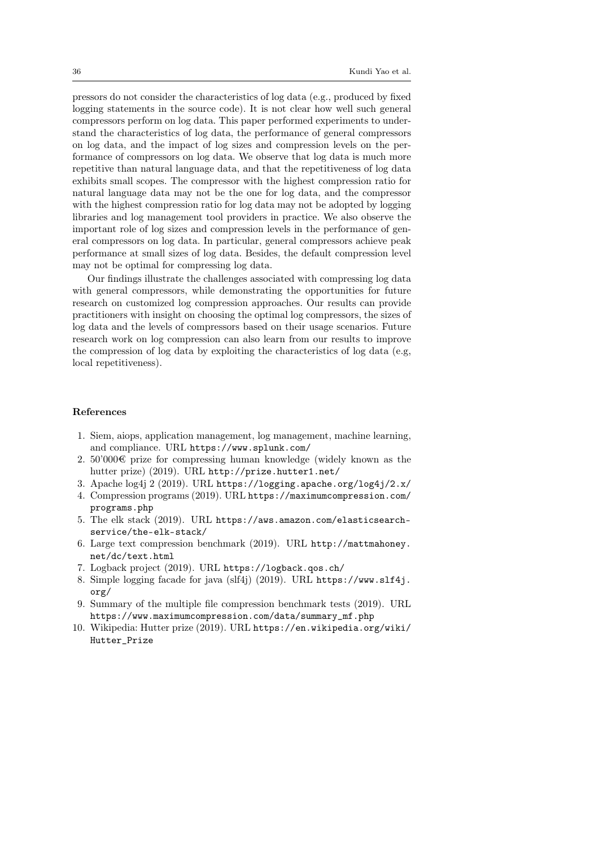pressors do not consider the characteristics of log data (e.g., produced by fixed logging statements in the source code). It is not clear how well such general compressors perform on log data. This paper performed experiments to understand the characteristics of log data, the performance of general compressors on log data, and the impact of log sizes and compression levels on the performance of compressors on log data. We observe that log data is much more repetitive than natural language data, and that the repetitiveness of log data exhibits small scopes. The compressor with the highest compression ratio for natural language data may not be the one for log data, and the compressor with the highest compression ratio for log data may not be adopted by logging libraries and log management tool providers in practice. We also observe the important role of log sizes and compression levels in the performance of general compressors on log data. In particular, general compressors achieve peak performance at small sizes of log data. Besides, the default compression level may not be optimal for compressing log data.

Our findings illustrate the challenges associated with compressing log data with general compressors, while demonstrating the opportunities for future research on customized log compression approaches. Our results can provide practitioners with insight on choosing the optimal log compressors, the sizes of log data and the levels of compressors based on their usage scenarios. Future research work on log compression can also learn from our results to improve the compression of log data by exploiting the characteristics of log data (e.g, local repetitiveness).

# References

- 1. Siem, aiops, application management, log management, machine learning, and compliance. URL https://www.splunk.com/
- 2. 50'000 $\text{\textcircled{e}}$  prize for compressing human knowledge (widely known as the hutter prize) (2019). URL http://prize.hutter1.net/
- 3. Apache log4j 2 (2019). URL https://logging.apache.org/log4j/2.x/
- 4. Compression programs (2019). URL https://maximumcompression.com/ programs.php
- 5. The elk stack (2019). URL https://aws.amazon.com/elasticsearchservice/the-elk-stack/
- 6. Large text compression benchmark (2019). URL http://mattmahoney. net/dc/text.html
- 7. Logback project (2019). URL https://logback.qos.ch/
- 8. Simple logging facade for java (slf4j) (2019). URL https://www.slf4j. org/
- 9. Summary of the multiple file compression benchmark tests (2019). URL https://www.maximumcompression.com/data/summary\_mf.php
- 10. Wikipedia: Hutter prize (2019). URL https://en.wikipedia.org/wiki/ Hutter\_Prize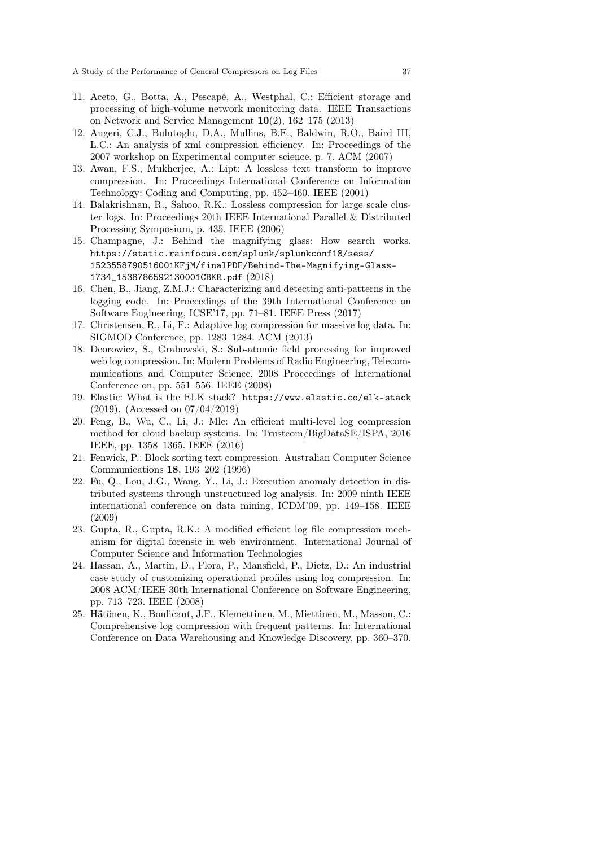- 11. Aceto, G., Botta, A., Pescapé, A., Westphal, C.: Efficient storage and processing of high-volume network monitoring data. IEEE Transactions on Network and Service Management 10(2), 162–175 (2013)
- 12. Augeri, C.J., Bulutoglu, D.A., Mullins, B.E., Baldwin, R.O., Baird III, L.C.: An analysis of xml compression efficiency. In: Proceedings of the 2007 workshop on Experimental computer science, p. 7. ACM (2007)
- 13. Awan, F.S., Mukherjee, A.: Lipt: A lossless text transform to improve compression. In: Proceedings International Conference on Information Technology: Coding and Computing, pp. 452–460. IEEE (2001)
- 14. Balakrishnan, R., Sahoo, R.K.: Lossless compression for large scale cluster logs. In: Proceedings 20th IEEE International Parallel & Distributed Processing Symposium, p. 435. IEEE (2006)
- 15. Champagne, J.: Behind the magnifying glass: How search works. https://static.rainfocus.com/splunk/splunkconf18/sess/ 1523558790516001KFjM/finalPDF/Behind-The-Magnifying-Glass-1734\_1538786592130001CBKR.pdf (2018)
- 16. Chen, B., Jiang, Z.M.J.: Characterizing and detecting anti-patterns in the logging code. In: Proceedings of the 39th International Conference on Software Engineering, ICSE'17, pp. 71–81. IEEE Press (2017)
- 17. Christensen, R., Li, F.: Adaptive log compression for massive log data. In: SIGMOD Conference, pp. 1283–1284. ACM (2013)
- 18. Deorowicz, S., Grabowski, S.: Sub-atomic field processing for improved web log compression. In: Modern Problems of Radio Engineering, Telecommunications and Computer Science, 2008 Proceedings of International Conference on, pp. 551–556. IEEE (2008)
- 19. Elastic: What is the ELK stack? https://www.elastic.co/elk-stack (2019). (Accessed on 07/04/2019)
- 20. Feng, B., Wu, C., Li, J.: Mlc: An efficient multi-level log compression method for cloud backup systems. In: Trustcom/BigDataSE/ISPA, 2016 IEEE, pp. 1358–1365. IEEE (2016)
- 21. Fenwick, P.: Block sorting text compression. Australian Computer Science Communications 18, 193–202 (1996)
- 22. Fu, Q., Lou, J.G., Wang, Y., Li, J.: Execution anomaly detection in distributed systems through unstructured log analysis. In: 2009 ninth IEEE international conference on data mining, ICDM'09, pp. 149–158. IEEE (2009)
- 23. Gupta, R., Gupta, R.K.: A modified efficient log file compression mechanism for digital forensic in web environment. International Journal of Computer Science and Information Technologies
- 24. Hassan, A., Martin, D., Flora, P., Mansfield, P., Dietz, D.: An industrial case study of customizing operational profiles using log compression. In: 2008 ACM/IEEE 30th International Conference on Software Engineering, pp. 713–723. IEEE (2008)
- 25. Hätönen, K., Boulicaut, J.F., Klemettinen, M., Miettinen, M., Masson, C.: Comprehensive log compression with frequent patterns. In: International Conference on Data Warehousing and Knowledge Discovery, pp. 360–370.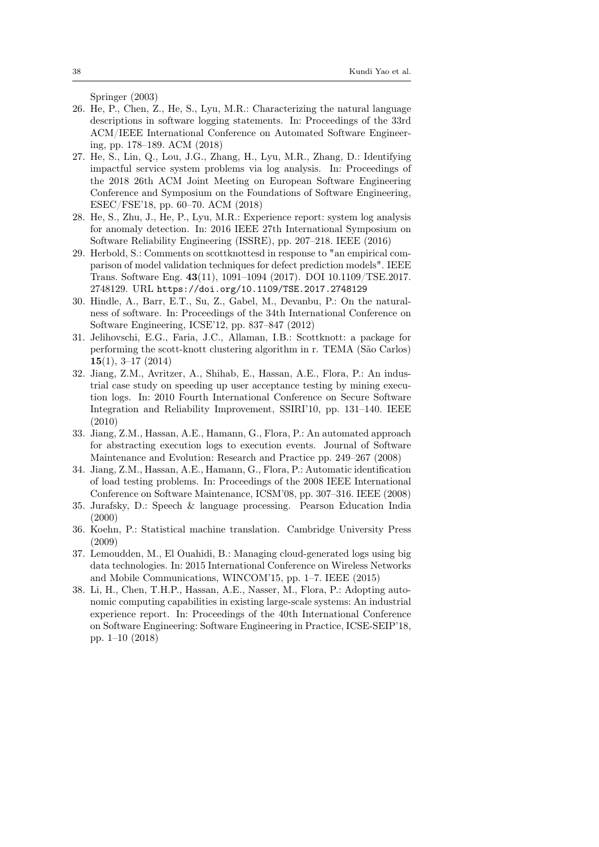Springer (2003)

- 26. He, P., Chen, Z., He, S., Lyu, M.R.: Characterizing the natural language descriptions in software logging statements. In: Proceedings of the 33rd ACM/IEEE International Conference on Automated Software Engineering, pp. 178–189. ACM (2018)
- 27. He, S., Lin, Q., Lou, J.G., Zhang, H., Lyu, M.R., Zhang, D.: Identifying impactful service system problems via log analysis. In: Proceedings of the 2018 26th ACM Joint Meeting on European Software Engineering Conference and Symposium on the Foundations of Software Engineering, ESEC/FSE'18, pp. 60–70. ACM (2018)
- 28. He, S., Zhu, J., He, P., Lyu, M.R.: Experience report: system log analysis for anomaly detection. In: 2016 IEEE 27th International Symposium on Software Reliability Engineering (ISSRE), pp. 207–218. IEEE (2016)
- 29. Herbold, S.: Comments on scottknottesd in response to "an empirical comparison of model validation techniques for defect prediction models". IEEE Trans. Software Eng. 43(11), 1091–1094 (2017). DOI 10.1109/TSE.2017. 2748129. URL https://doi.org/10.1109/TSE.2017.2748129
- 30. Hindle, A., Barr, E.T., Su, Z., Gabel, M., Devanbu, P.: On the naturalness of software. In: Proceedings of the 34th International Conference on Software Engineering, ICSE'12, pp. 837–847 (2012)
- 31. Jelihovschi, E.G., Faria, J.C., Allaman, I.B.: Scottknott: a package for performing the scott-knott clustering algorithm in r. TEMA (São Carlos)  $15(1), 3-17(2014)$
- 32. Jiang, Z.M., Avritzer, A., Shihab, E., Hassan, A.E., Flora, P.: An industrial case study on speeding up user acceptance testing by mining execution logs. In: 2010 Fourth International Conference on Secure Software Integration and Reliability Improvement, SSIRI'10, pp. 131–140. IEEE (2010)
- 33. Jiang, Z.M., Hassan, A.E., Hamann, G., Flora, P.: An automated approach for abstracting execution logs to execution events. Journal of Software Maintenance and Evolution: Research and Practice pp. 249–267 (2008)
- 34. Jiang, Z.M., Hassan, A.E., Hamann, G., Flora, P.: Automatic identification of load testing problems. In: Proceedings of the 2008 IEEE International Conference on Software Maintenance, ICSM'08, pp. 307–316. IEEE (2008)
- 35. Jurafsky, D.: Speech & language processing. Pearson Education India (2000)
- 36. Koehn, P.: Statistical machine translation. Cambridge University Press (2009)
- 37. Lemoudden, M., El Ouahidi, B.: Managing cloud-generated logs using big data technologies. In: 2015 International Conference on Wireless Networks and Mobile Communications, WINCOM'15, pp. 1–7. IEEE (2015)
- 38. Li, H., Chen, T.H.P., Hassan, A.E., Nasser, M., Flora, P.: Adopting autonomic computing capabilities in existing large-scale systems: An industrial experience report. In: Proceedings of the 40th International Conference on Software Engineering: Software Engineering in Practice, ICSE-SEIP'18, pp. 1–10 (2018)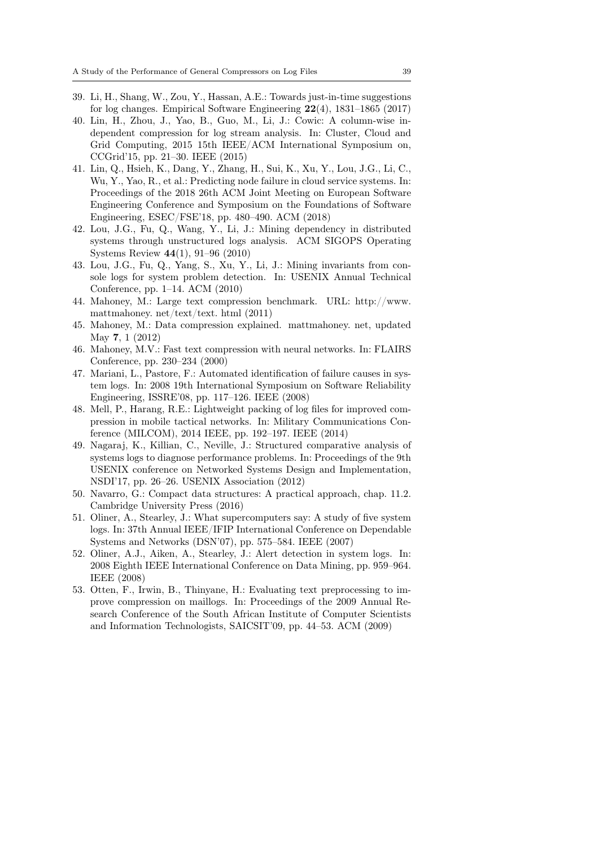- 39. Li, H., Shang, W., Zou, Y., Hassan, A.E.: Towards just-in-time suggestions for log changes. Empirical Software Engineering 22(4), 1831–1865 (2017)
- 40. Lin, H., Zhou, J., Yao, B., Guo, M., Li, J.: Cowic: A column-wise independent compression for log stream analysis. In: Cluster, Cloud and Grid Computing, 2015 15th IEEE/ACM International Symposium on, CCGrid'15, pp. 21–30. IEEE (2015)
- 41. Lin, Q., Hsieh, K., Dang, Y., Zhang, H., Sui, K., Xu, Y., Lou, J.G., Li, C., Wu, Y., Yao, R., et al.: Predicting node failure in cloud service systems. In: Proceedings of the 2018 26th ACM Joint Meeting on European Software Engineering Conference and Symposium on the Foundations of Software Engineering, ESEC/FSE'18, pp. 480–490. ACM (2018)
- 42. Lou, J.G., Fu, Q., Wang, Y., Li, J.: Mining dependency in distributed systems through unstructured logs analysis. ACM SIGOPS Operating Systems Review 44(1), 91–96 (2010)
- 43. Lou, J.G., Fu, Q., Yang, S., Xu, Y., Li, J.: Mining invariants from console logs for system problem detection. In: USENIX Annual Technical Conference, pp. 1–14. ACM (2010)
- 44. Mahoney, M.: Large text compression benchmark. URL: http://www. mattmahoney. net/text/text. html (2011)
- 45. Mahoney, M.: Data compression explained. mattmahoney. net, updated May 7, 1 (2012)
- 46. Mahoney, M.V.: Fast text compression with neural networks. In: FLAIRS Conference, pp. 230–234 (2000)
- 47. Mariani, L., Pastore, F.: Automated identification of failure causes in system logs. In: 2008 19th International Symposium on Software Reliability Engineering, ISSRE'08, pp. 117–126. IEEE (2008)
- 48. Mell, P., Harang, R.E.: Lightweight packing of log files for improved compression in mobile tactical networks. In: Military Communications Conference (MILCOM), 2014 IEEE, pp. 192–197. IEEE (2014)
- 49. Nagaraj, K., Killian, C., Neville, J.: Structured comparative analysis of systems logs to diagnose performance problems. In: Proceedings of the 9th USENIX conference on Networked Systems Design and Implementation, NSDI'17, pp. 26–26. USENIX Association (2012)
- 50. Navarro, G.: Compact data structures: A practical approach, chap. 11.2. Cambridge University Press (2016)
- 51. Oliner, A., Stearley, J.: What supercomputers say: A study of five system logs. In: 37th Annual IEEE/IFIP International Conference on Dependable Systems and Networks (DSN'07), pp. 575–584. IEEE (2007)
- 52. Oliner, A.J., Aiken, A., Stearley, J.: Alert detection in system logs. In: 2008 Eighth IEEE International Conference on Data Mining, pp. 959–964. IEEE (2008)
- 53. Otten, F., Irwin, B., Thinyane, H.: Evaluating text preprocessing to improve compression on maillogs. In: Proceedings of the 2009 Annual Research Conference of the South African Institute of Computer Scientists and Information Technologists, SAICSIT'09, pp. 44–53. ACM (2009)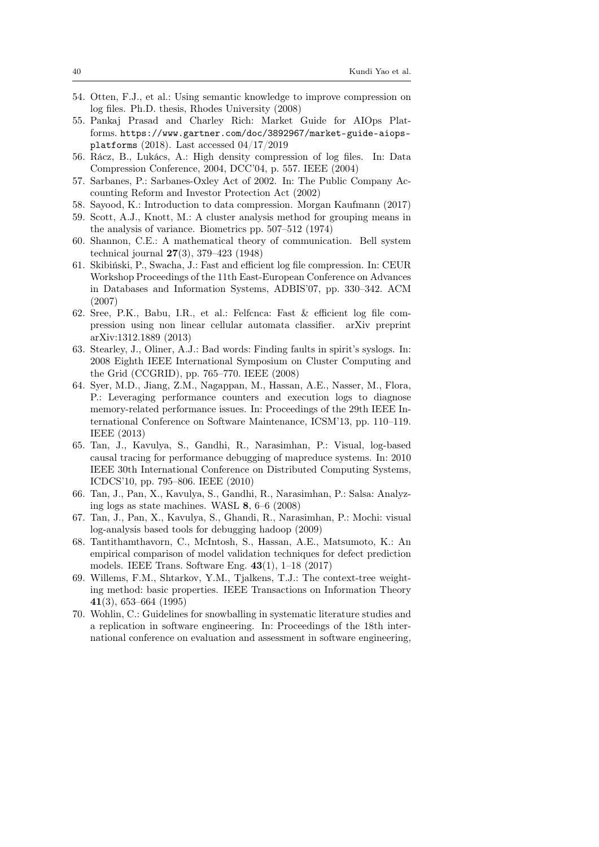- 54. Otten, F.J., et al.: Using semantic knowledge to improve compression on log files. Ph.D. thesis, Rhodes University (2008)
- 55. Pankaj Prasad and Charley Rich: Market Guide for AIOps Platforms. https://www.gartner.com/doc/3892967/market-guide-aiopsplatforms (2018). Last accessed 04/17/2019
- 56. Rácz, B., Lukács, A.: High density compression of log files. In: Data Compression Conference, 2004, DCC'04, p. 557. IEEE (2004)
- 57. Sarbanes, P.: Sarbanes-Oxley Act of 2002. In: The Public Company Accounting Reform and Investor Protection Act (2002)
- 58. Sayood, K.: Introduction to data compression. Morgan Kaufmann (2017)
- 59. Scott, A.J., Knott, M.: A cluster analysis method for grouping means in the analysis of variance. Biometrics pp. 507–512 (1974)
- 60. Shannon, C.E.: A mathematical theory of communication. Bell system technical journal 27(3), 379–423 (1948)
- 61. Skibiński, P., Swacha, J.: Fast and efficient log file compression. In: CEUR Workshop Proceedings of the 11th East-European Conference on Advances in Databases and Information Systems, ADBIS'07, pp. 330–342. ACM (2007)
- 62. Sree, P.K., Babu, I.R., et al.: Felfcnca: Fast & efficient log file compression using non linear cellular automata classifier. arXiv preprint arXiv:1312.1889 (2013)
- 63. Stearley, J., Oliner, A.J.: Bad words: Finding faults in spirit's syslogs. In: 2008 Eighth IEEE International Symposium on Cluster Computing and the Grid (CCGRID), pp. 765–770. IEEE (2008)
- 64. Syer, M.D., Jiang, Z.M., Nagappan, M., Hassan, A.E., Nasser, M., Flora, P.: Leveraging performance counters and execution logs to diagnose memory-related performance issues. In: Proceedings of the 29th IEEE International Conference on Software Maintenance, ICSM'13, pp. 110–119. IEEE (2013)
- 65. Tan, J., Kavulya, S., Gandhi, R., Narasimhan, P.: Visual, log-based causal tracing for performance debugging of mapreduce systems. In: 2010 IEEE 30th International Conference on Distributed Computing Systems, ICDCS'10, pp. 795–806. IEEE (2010)
- 66. Tan, J., Pan, X., Kavulya, S., Gandhi, R., Narasimhan, P.: Salsa: Analyzing logs as state machines. WASL 8, 6–6 (2008)
- 67. Tan, J., Pan, X., Kavulya, S., Ghandi, R., Narasimhan, P.: Mochi: visual log-analysis based tools for debugging hadoop (2009)
- 68. Tantithamthavorn, C., McIntosh, S., Hassan, A.E., Matsumoto, K.: An empirical comparison of model validation techniques for defect prediction models. IEEE Trans. Software Eng. 43(1), 1–18 (2017)
- 69. Willems, F.M., Shtarkov, Y.M., Tjalkens, T.J.: The context-tree weighting method: basic properties. IEEE Transactions on Information Theory 41(3), 653–664 (1995)
- 70. Wohlin, C.: Guidelines for snowballing in systematic literature studies and a replication in software engineering. In: Proceedings of the 18th international conference on evaluation and assessment in software engineering,